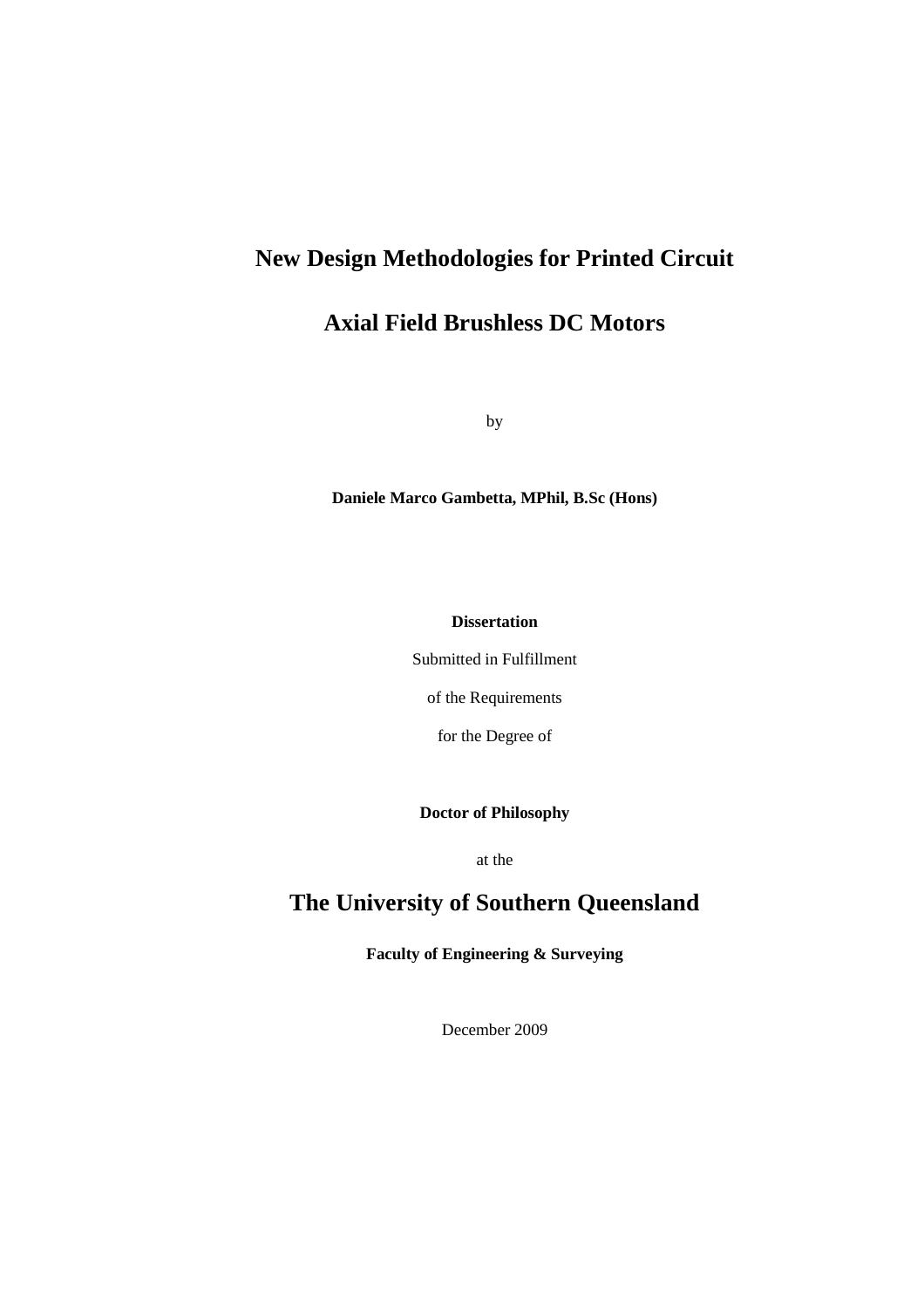### **New Design Methodologies for Printed Circuit**

### **Axial Field Brushless DC Motors**

by

**Daniele Marco Gambetta, MPhil, B.Sc (Hons)** 

**Dissertation** 

Submitted in Fulfillment

of the Requirements

for the Degree of

**Doctor of Philosophy** 

at the

### **The University of Southern Queensland**

**Faculty of Engineering & Surveying** 

December 2009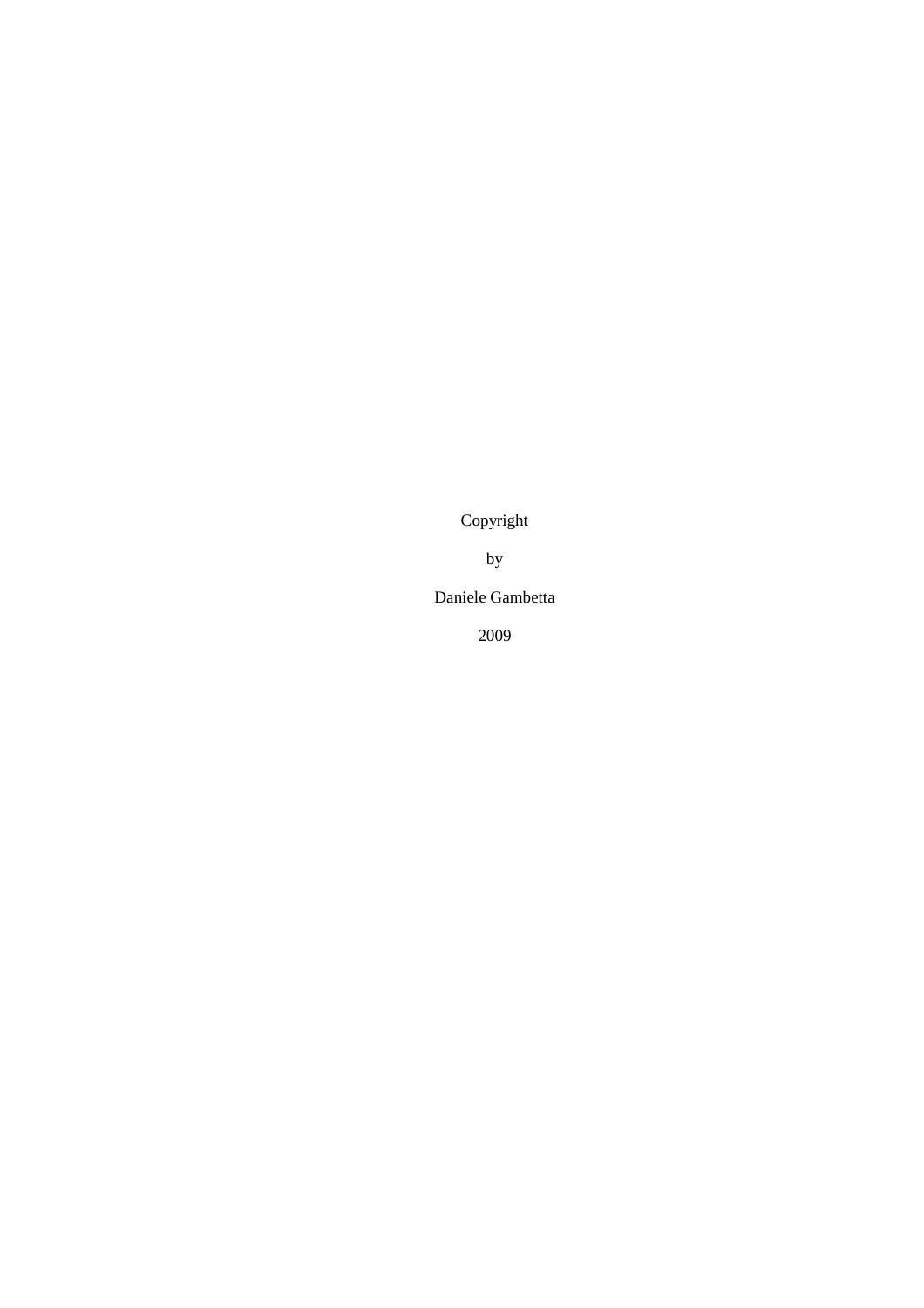Copyright

by

Daniele Gambetta

2009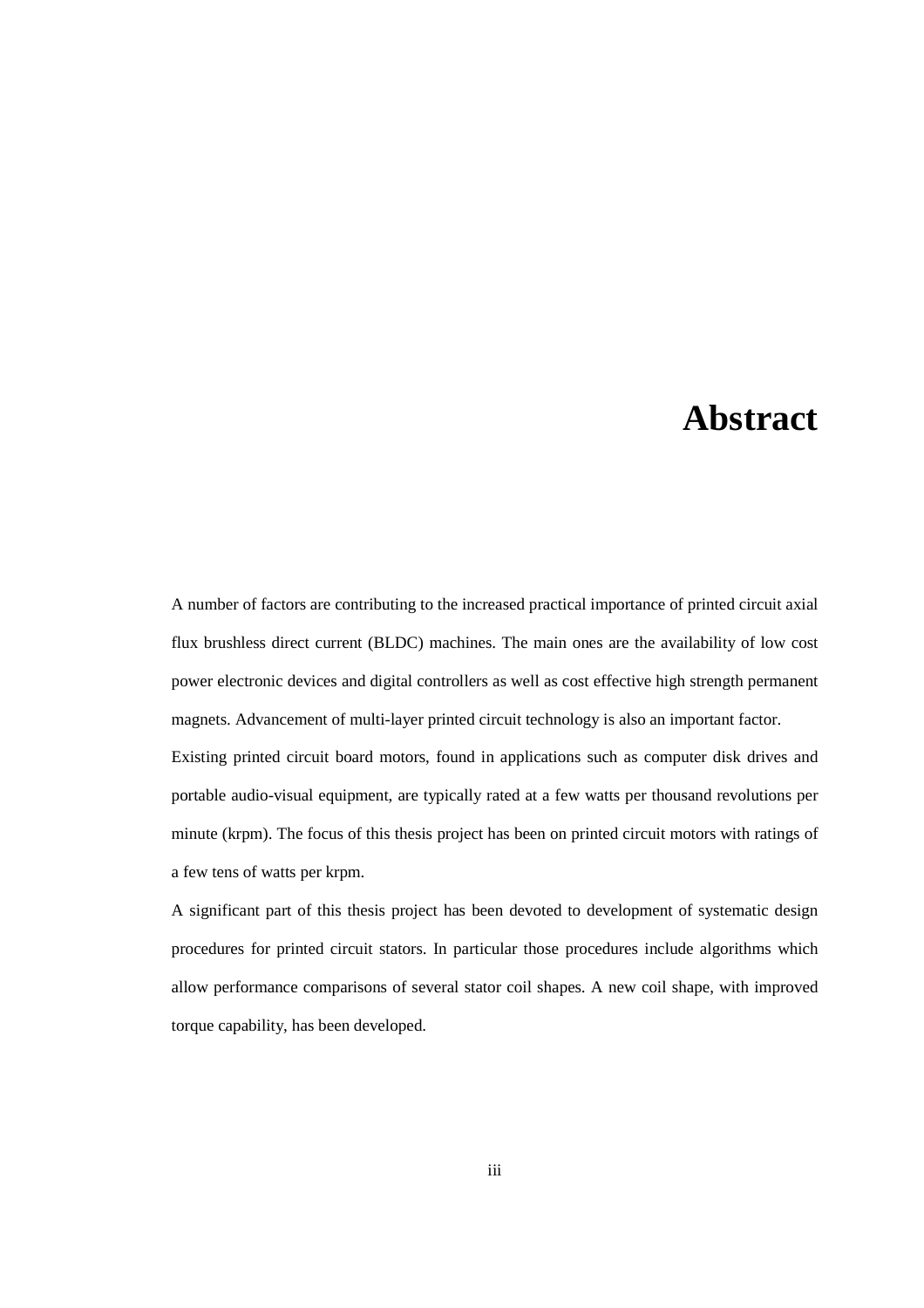### **Abstract**

A number of factors are contributing to the increased practical importance of printed circuit axial flux brushless direct current (BLDC) machines. The main ones are the availability of low cost power electronic devices and digital controllers as well as cost effective high strength permanent magnets. Advancement of multi-layer printed circuit technology is also an important factor. Existing printed circuit board motors, found in applications such as computer disk drives and portable audio-visual equipment, are typically rated at a few watts per thousand revolutions per minute (krpm). The focus of this thesis project has been on printed circuit motors with ratings of a few tens of watts per krpm.

A significant part of this thesis project has been devoted to development of systematic design procedures for printed circuit stators. In particular those procedures include algorithms which allow performance comparisons of several stator coil shapes. A new coil shape, with improved torque capability, has been developed.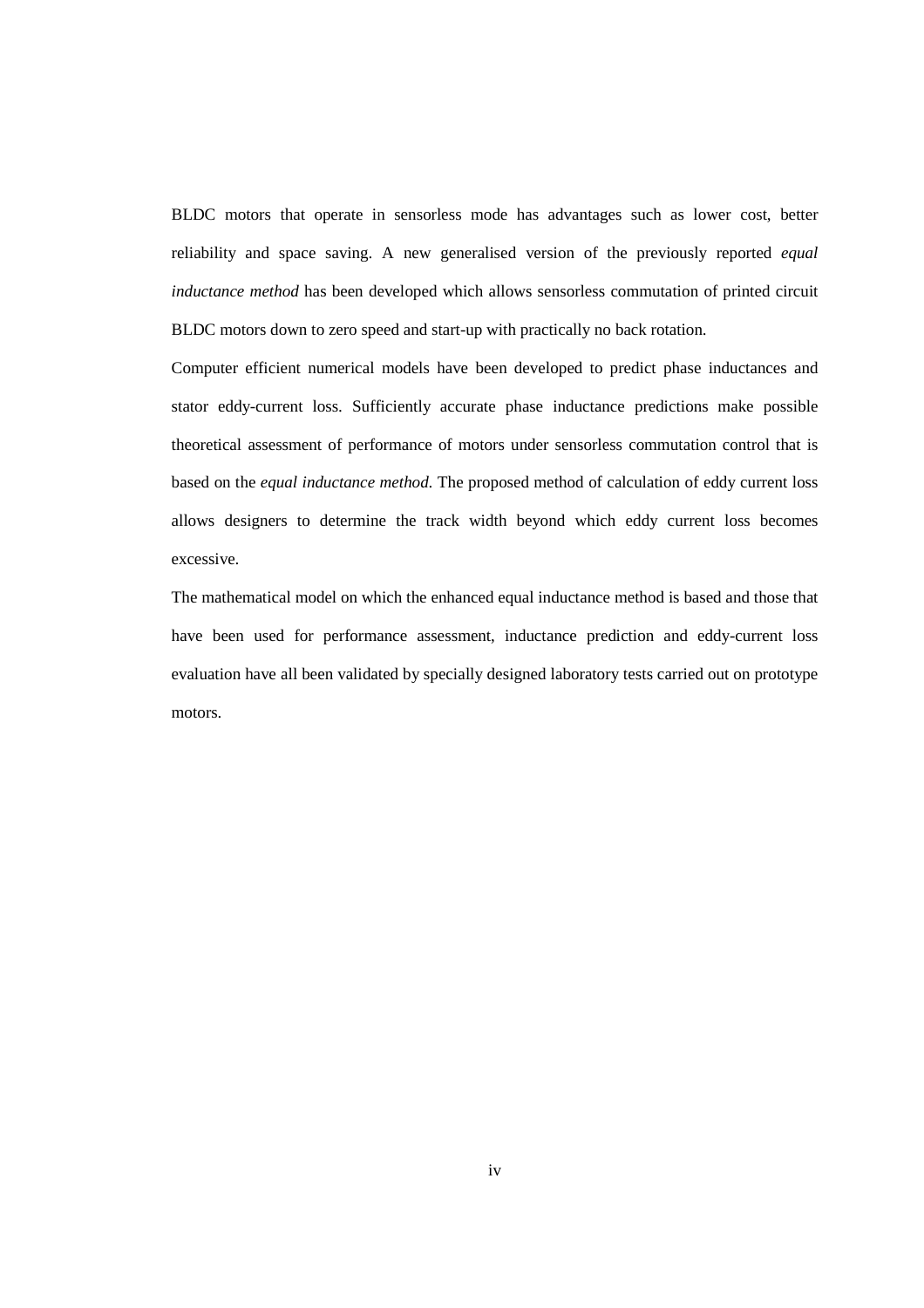BLDC motors that operate in sensorless mode has advantages such as lower cost, better reliability and space saving. A new generalised version of the previously reported *equal inductance method* has been developed which allows sensorless commutation of printed circuit BLDC motors down to zero speed and start-up with practically no back rotation.

Computer efficient numerical models have been developed to predict phase inductances and stator eddy-current loss. Sufficiently accurate phase inductance predictions make possible theoretical assessment of performance of motors under sensorless commutation control that is based on the *equal inductance method*. The proposed method of calculation of eddy current loss allows designers to determine the track width beyond which eddy current loss becomes excessive.

The mathematical model on which the enhanced equal inductance method is based and those that have been used for performance assessment, inductance prediction and eddy-current loss evaluation have all been validated by specially designed laboratory tests carried out on prototype motors.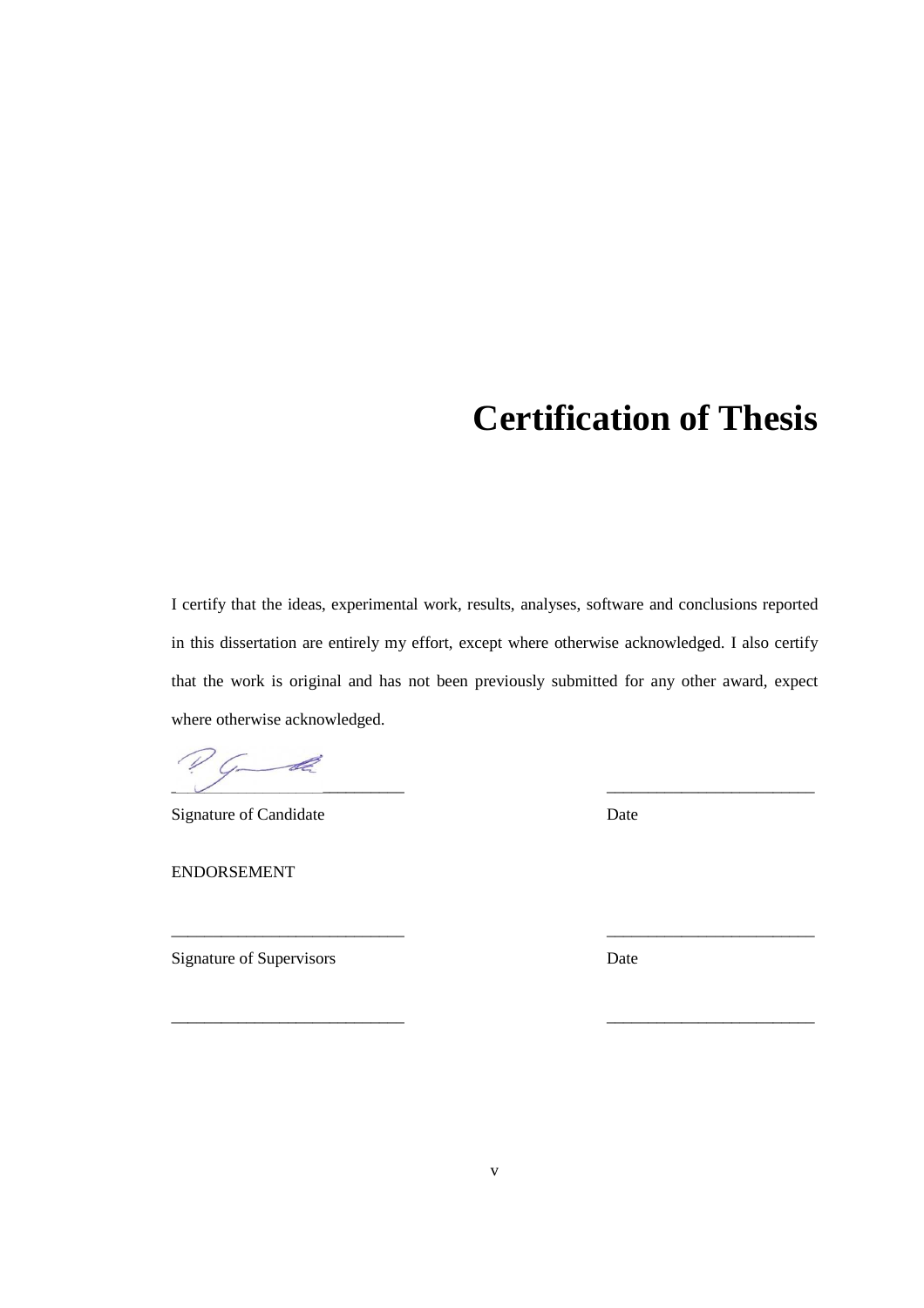## **Certification of Thesis**

I certify that the ideas, experimental work, results, analyses, software and conclusions reported in this dissertation are entirely my effort, except where otherwise acknowledged. I also certify that the work is original and has not been previously submitted for any other award, expect where otherwise acknowledged.

PG-de  $\overline{\phantom{a}}$  ,  $\overline{\phantom{a}}$  ,  $\overline{\phantom{a}}$  ,  $\overline{\phantom{a}}$  ,  $\overline{\phantom{a}}$  ,  $\overline{\phantom{a}}$  ,  $\overline{\phantom{a}}$  ,  $\overline{\phantom{a}}$  ,  $\overline{\phantom{a}}$  ,  $\overline{\phantom{a}}$  ,  $\overline{\phantom{a}}$  ,  $\overline{\phantom{a}}$  ,  $\overline{\phantom{a}}$  ,  $\overline{\phantom{a}}$  ,  $\overline{\phantom{a}}$  ,  $\overline{\phantom{a}}$ 

Signature of Candidate Date

ENDORSEMENT

Signature of Supervisors Date

\_\_\_\_\_\_\_\_\_\_\_\_\_\_\_\_\_\_\_\_\_\_\_\_\_\_\_\_ \_\_\_\_\_\_\_\_\_\_\_\_\_\_\_\_\_\_\_\_\_\_\_\_\_

\_\_\_\_\_\_\_\_\_\_\_\_\_\_\_\_\_\_\_\_\_\_\_\_\_\_\_\_ \_\_\_\_\_\_\_\_\_\_\_\_\_\_\_\_\_\_\_\_\_\_\_\_\_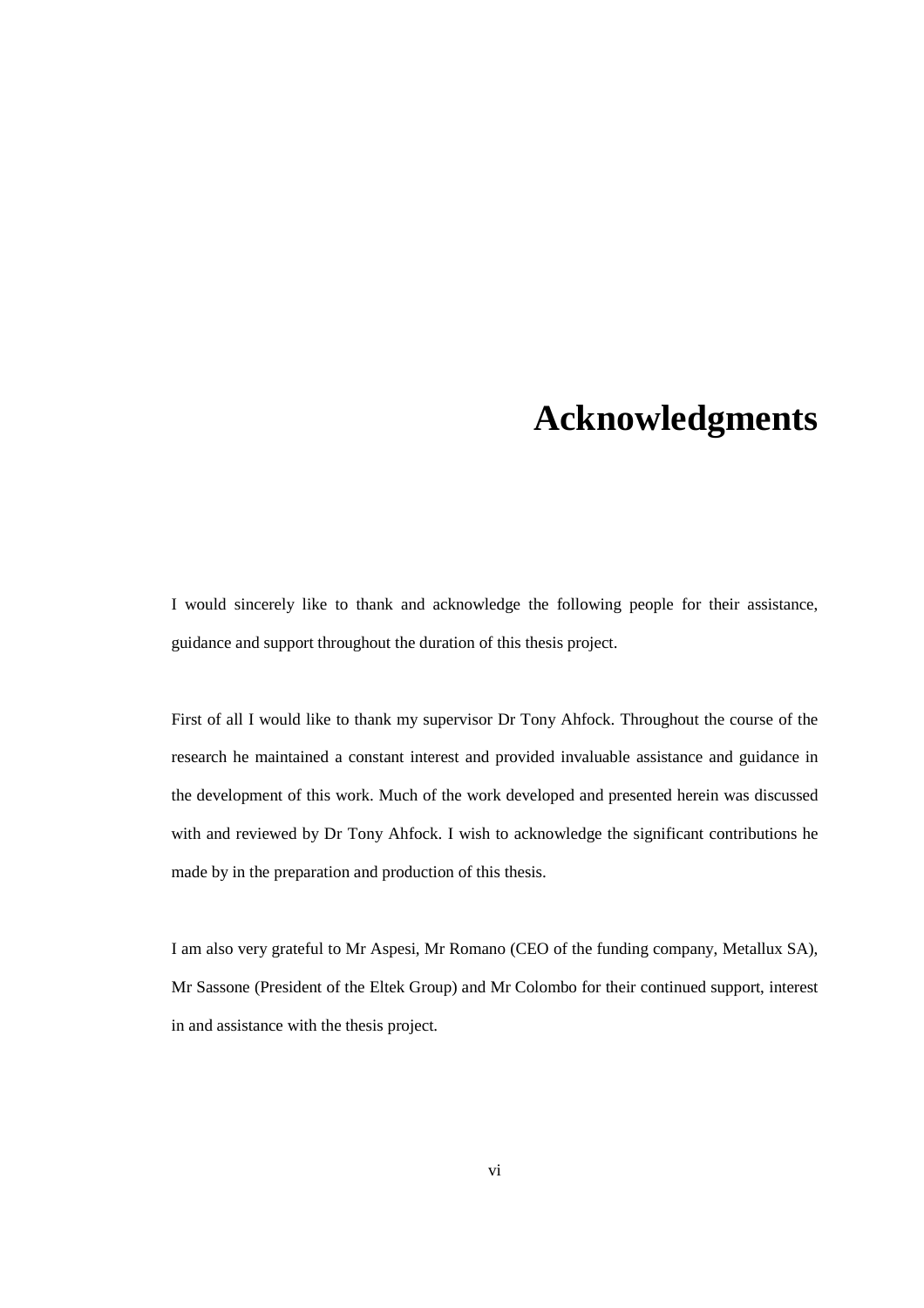## **Acknowledgments**

I would sincerely like to thank and acknowledge the following people for their assistance, guidance and support throughout the duration of this thesis project.

First of all I would like to thank my supervisor Dr Tony Ahfock. Throughout the course of the research he maintained a constant interest and provided invaluable assistance and guidance in the development of this work. Much of the work developed and presented herein was discussed with and reviewed by Dr Tony Ahfock. I wish to acknowledge the significant contributions he made by in the preparation and production of this thesis.

I am also very grateful to Mr Aspesi, Mr Romano (CEO of the funding company, Metallux SA), Mr Sassone (President of the Eltek Group) and Mr Colombo for their continued support, interest in and assistance with the thesis project.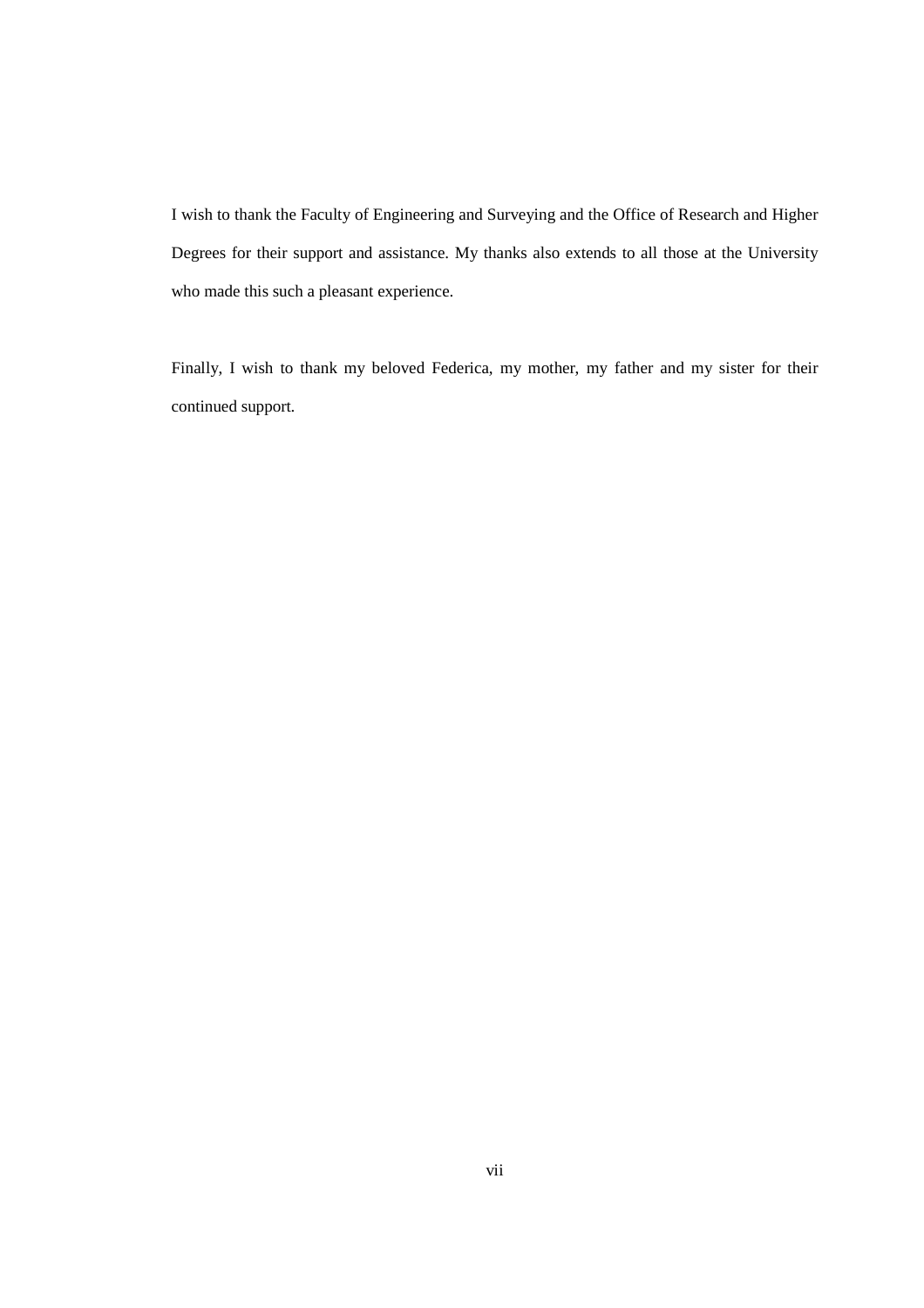I wish to thank the Faculty of Engineering and Surveying and the Office of Research and Higher Degrees for their support and assistance. My thanks also extends to all those at the University who made this such a pleasant experience.

Finally, I wish to thank my beloved Federica, my mother, my father and my sister for their continued support.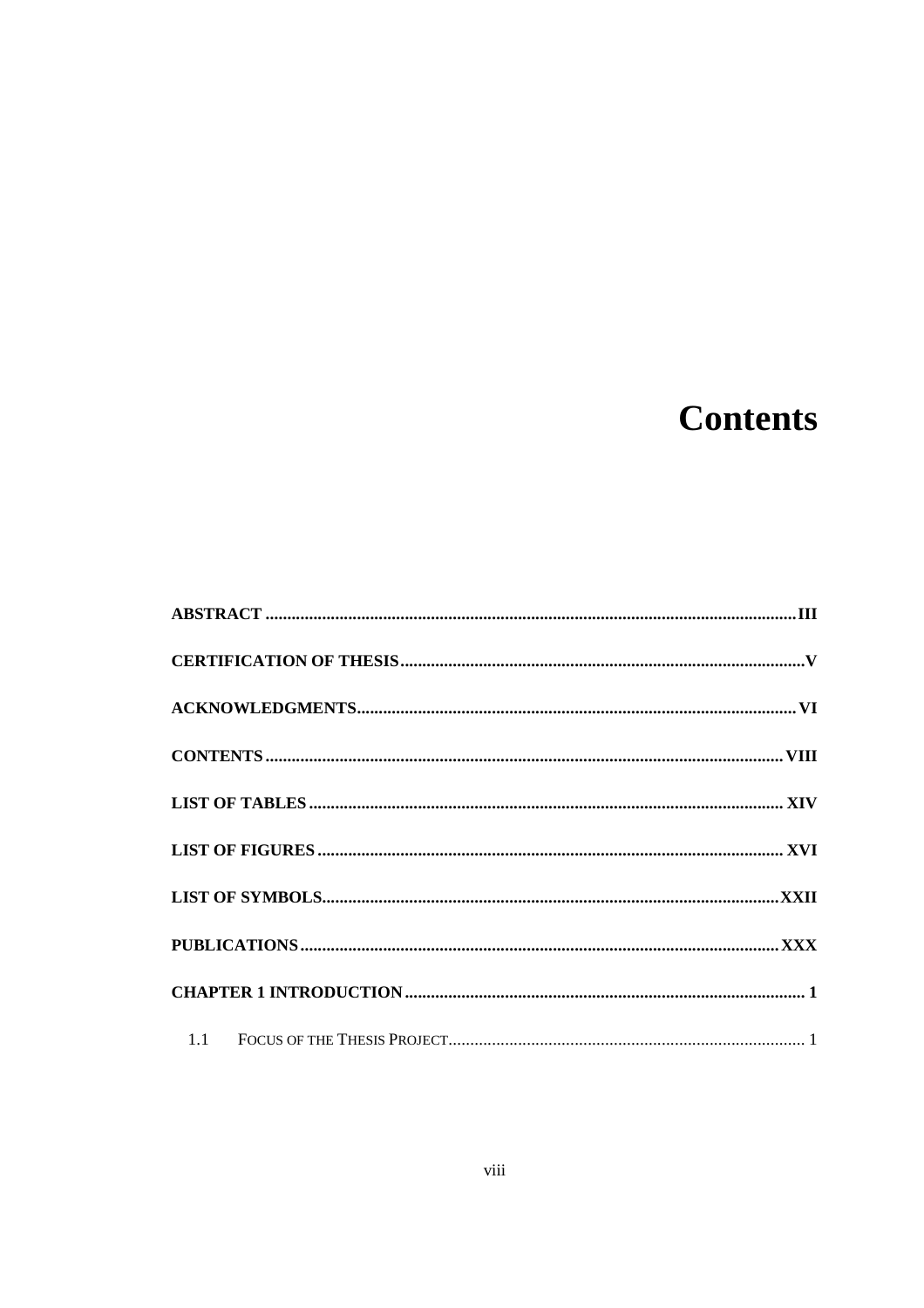# **Contents**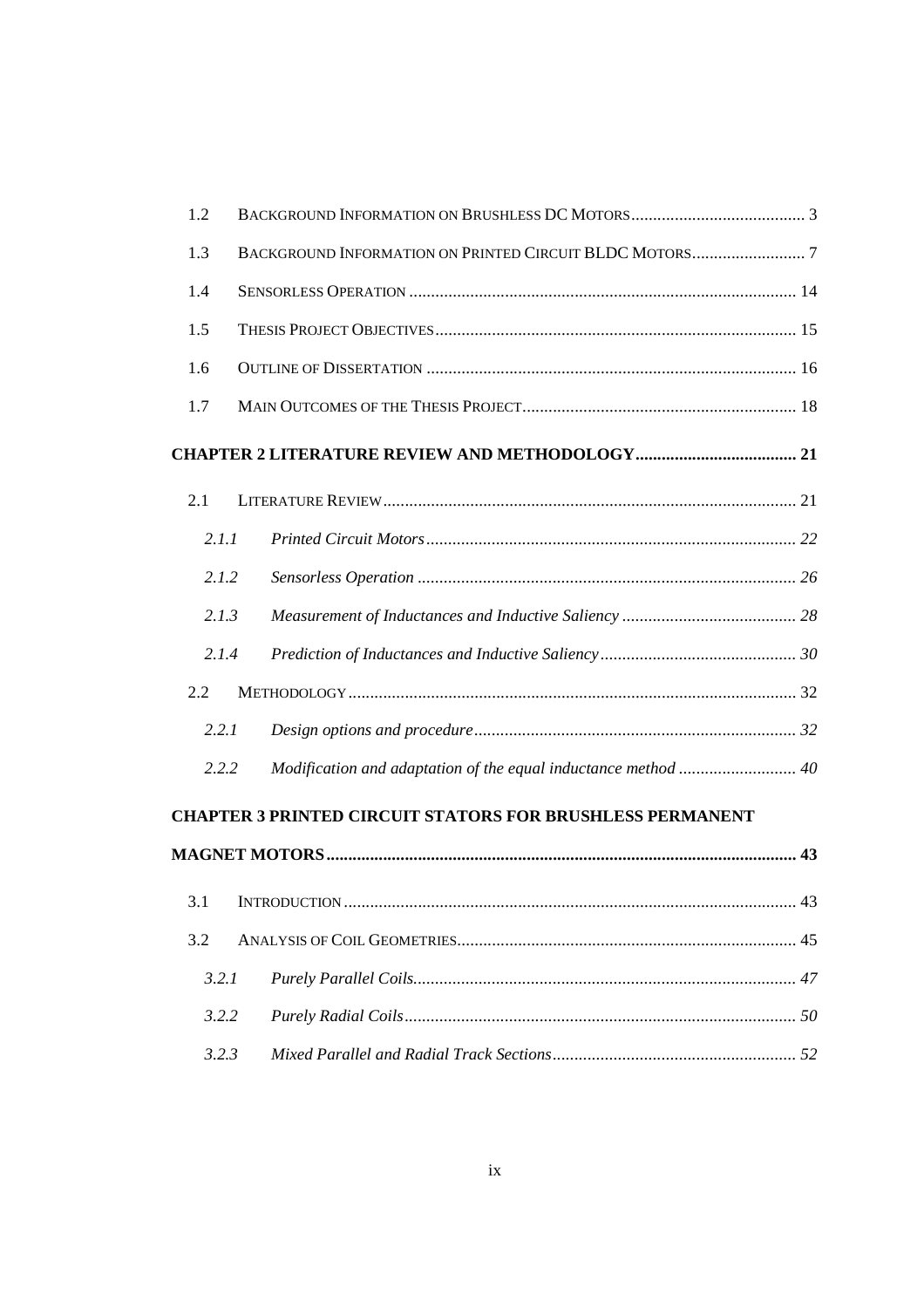| 1.2   |                                                                  |    |
|-------|------------------------------------------------------------------|----|
| 1.3   |                                                                  |    |
| 1.4   |                                                                  |    |
| 1.5   |                                                                  |    |
| 1.6   |                                                                  |    |
| 1.7   |                                                                  |    |
|       |                                                                  |    |
| 2.1   |                                                                  |    |
| 2.1.1 |                                                                  |    |
| 2.1.2 |                                                                  |    |
| 2.1.3 |                                                                  |    |
| 2.1.4 |                                                                  |    |
| 2.2   |                                                                  |    |
| 2.2.1 |                                                                  |    |
| 2.2.2 | Modification and adaptation of the equal inductance method  40   |    |
|       | <b>CHAPTER 3 PRINTED CIRCUIT STATORS FOR BRUSHLESS PERMANENT</b> |    |
|       |                                                                  |    |
|       |                                                                  | 43 |
| 3.2   |                                                                  |    |
| 3.2.1 |                                                                  |    |
| 3.2.2 |                                                                  |    |
| 3.2.3 |                                                                  |    |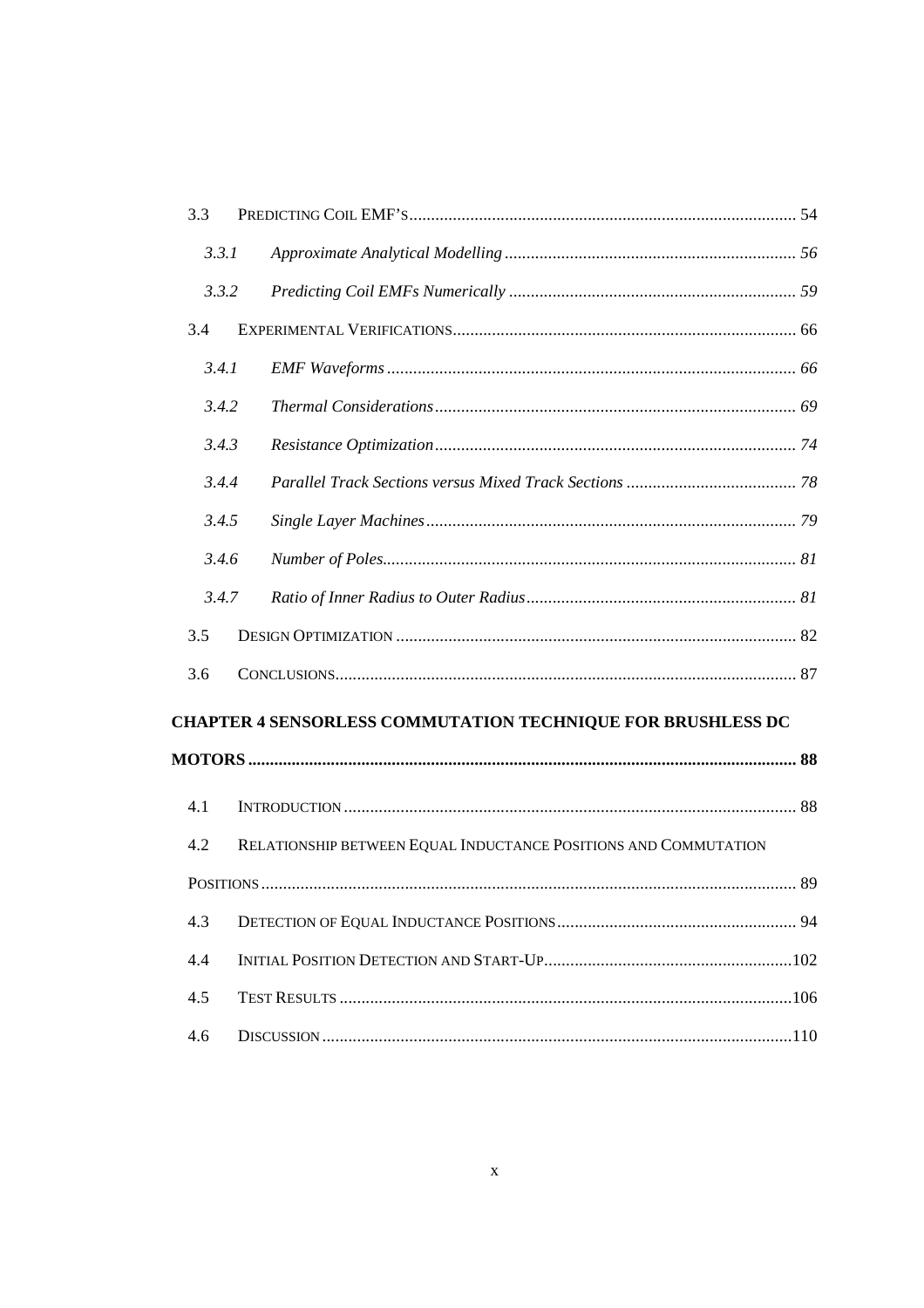| 3.3   |                                                                    |  |
|-------|--------------------------------------------------------------------|--|
| 3.3.1 |                                                                    |  |
| 3.3.2 |                                                                    |  |
| 3.4   |                                                                    |  |
| 3.4.1 |                                                                    |  |
| 3.4.2 |                                                                    |  |
| 3.4.3 |                                                                    |  |
| 3.4.4 |                                                                    |  |
| 3.4.5 |                                                                    |  |
| 3.4.6 |                                                                    |  |
| 3.4.7 |                                                                    |  |
| 3.5   |                                                                    |  |
| 3.6   |                                                                    |  |
|       | <b>CHAPTER 4 SENSORLESS COMMUTATION TECHNIQUE FOR BRUSHLESS DC</b> |  |
|       |                                                                    |  |
| 4.1   |                                                                    |  |
| 4.2   | RELATIONSHIP BETWEEN EQUAL INDUCTANCE POSITIONS AND COMMUTATION    |  |
|       |                                                                    |  |
| 4.3   |                                                                    |  |
| 4.4   |                                                                    |  |
| 4.5   |                                                                    |  |
| 4.6   |                                                                    |  |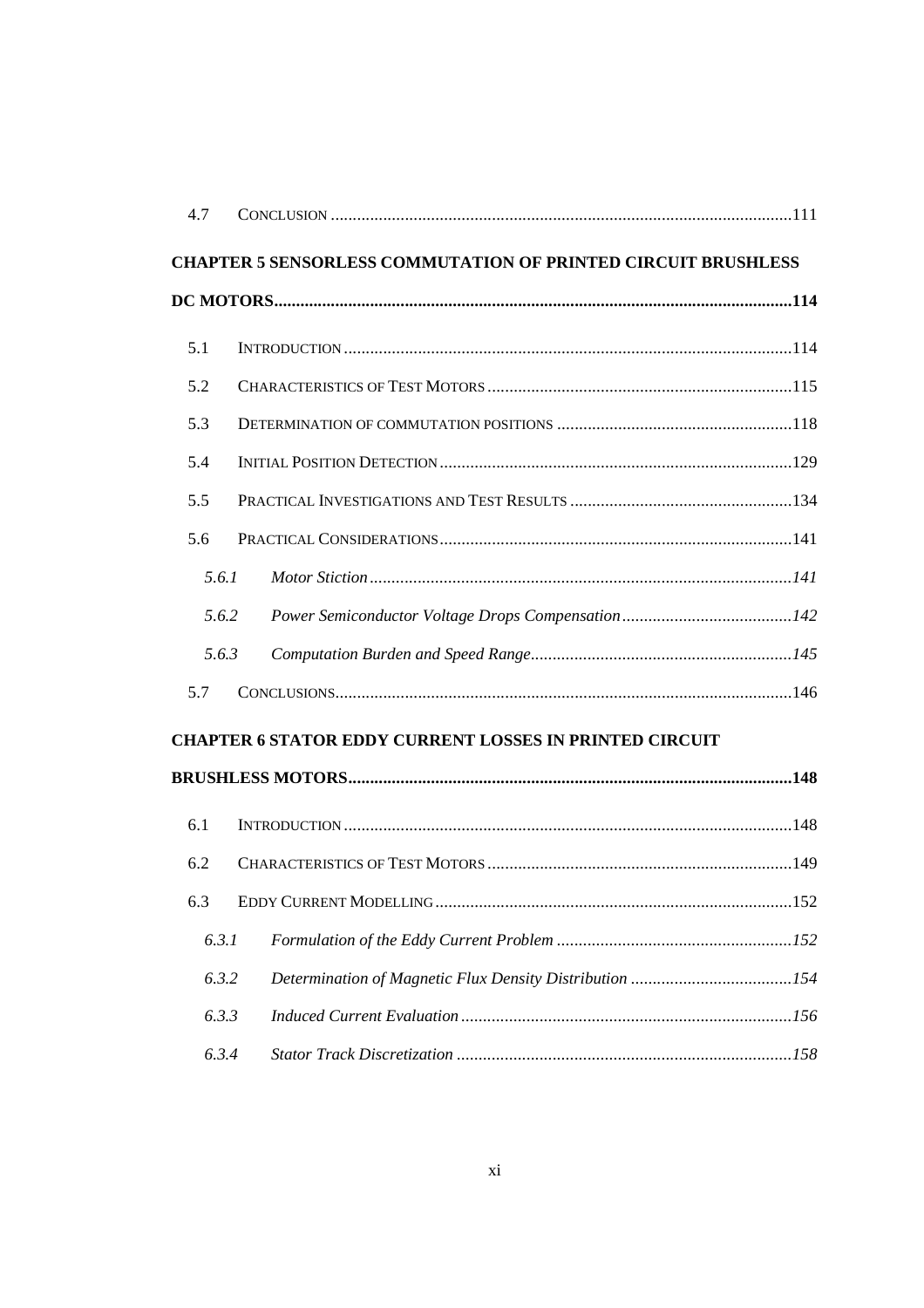|     | 4.7   |                                                                      |  |
|-----|-------|----------------------------------------------------------------------|--|
|     |       | <b>CHAPTER 5 SENSORLESS COMMUTATION OF PRINTED CIRCUIT BRUSHLESS</b> |  |
|     |       |                                                                      |  |
| 5.1 |       |                                                                      |  |
| 5.2 |       |                                                                      |  |
| 5.3 |       |                                                                      |  |
| 5.4 |       |                                                                      |  |
| 5.5 |       |                                                                      |  |
| 5.6 |       |                                                                      |  |
|     | 5.6.1 |                                                                      |  |
|     | 5.6.2 |                                                                      |  |
|     | 5.6.3 |                                                                      |  |
| 5.7 |       |                                                                      |  |
|     |       | <b>CHAPTER 6 STATOR EDDY CURRENT LOSSES IN PRINTED CIRCUIT</b>       |  |
|     |       |                                                                      |  |
|     |       |                                                                      |  |
| 6.1 |       |                                                                      |  |
| 6.2 |       |                                                                      |  |
| 6.3 |       |                                                                      |  |
|     | 6.3.1 |                                                                      |  |
|     | 6.3.2 |                                                                      |  |
|     | 6.3.3 |                                                                      |  |
|     | 6.3.4 |                                                                      |  |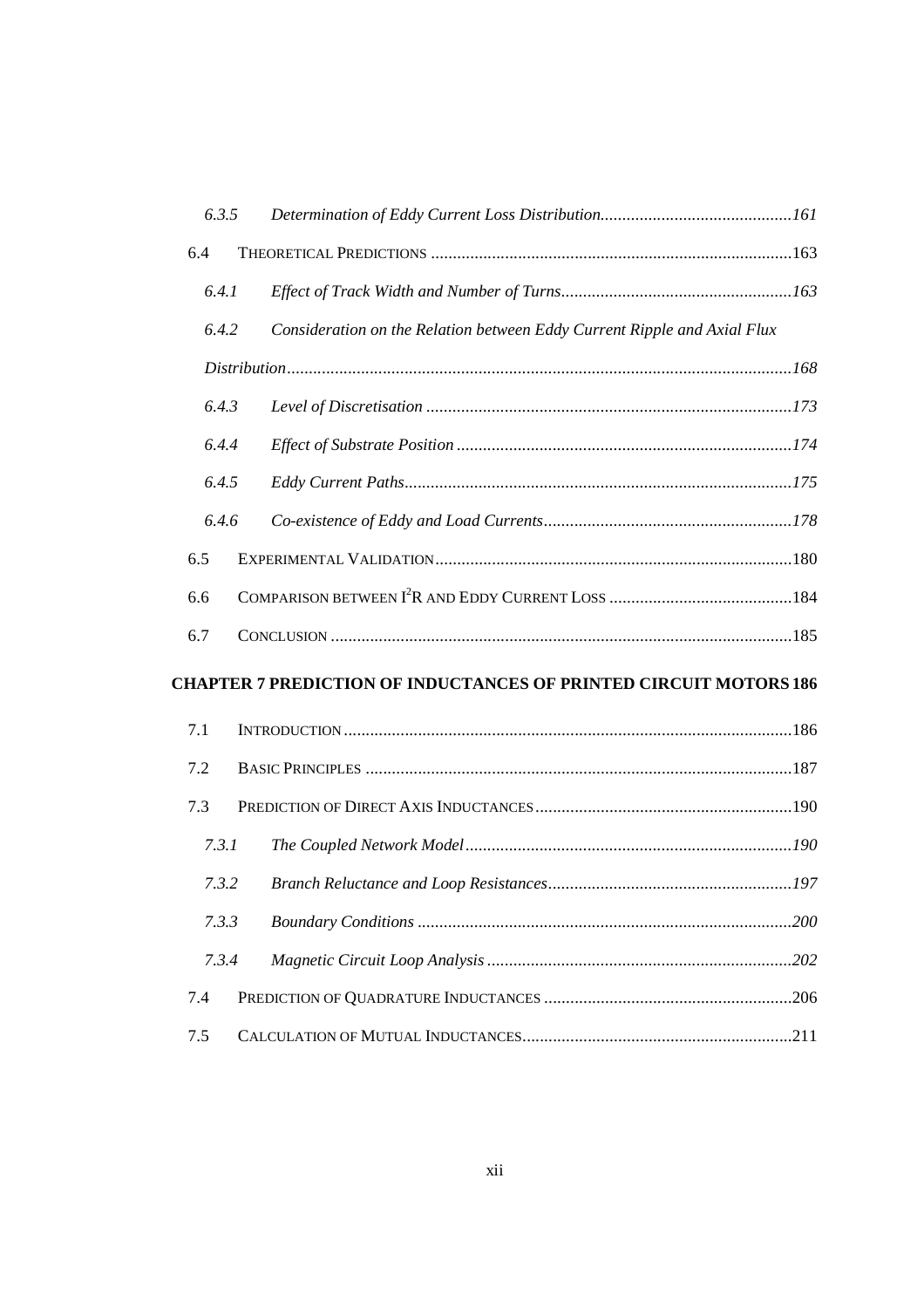| 6.3.5 |                                                                          |     |
|-------|--------------------------------------------------------------------------|-----|
| 6.4   |                                                                          |     |
| 6.4.1 |                                                                          |     |
| 6.4.2 | Consideration on the Relation between Eddy Current Ripple and Axial Flux |     |
|       |                                                                          |     |
| 6.4.3 |                                                                          |     |
| 6.4.4 |                                                                          |     |
| 6.4.5 |                                                                          |     |
| 6.4.6 |                                                                          |     |
| 6.5   |                                                                          |     |
| 6.6   |                                                                          |     |
| 6.7   |                                                                          |     |
|       | <b>CHAPTER 7 PREDICTION OF INDUCTANCES OF PRINTED CIRCUIT MOTORS 186</b> |     |
| 7.1   |                                                                          |     |
| 7.2   |                                                                          |     |
| 7.3   |                                                                          |     |
| 7.3.1 |                                                                          |     |
| 7.3.2 |                                                                          |     |
| 7.3.3 |                                                                          | 200 |
| 7.3.4 |                                                                          |     |
| 7.4   |                                                                          |     |
| 7.5   |                                                                          |     |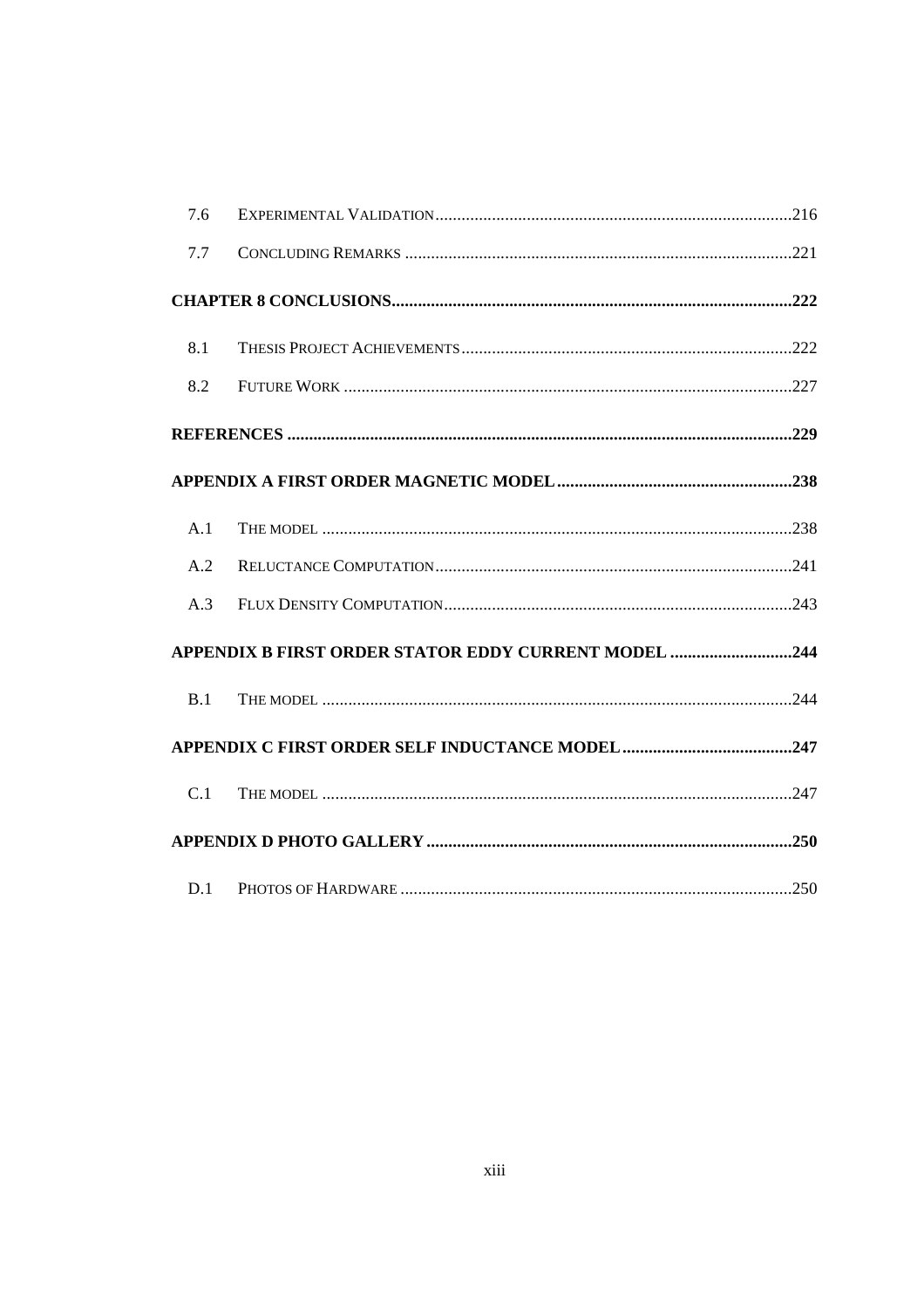| 7.6 |                                                      |  |
|-----|------------------------------------------------------|--|
| 7.7 |                                                      |  |
|     |                                                      |  |
| 8.1 |                                                      |  |
| 8.2 |                                                      |  |
|     |                                                      |  |
|     |                                                      |  |
| A.1 |                                                      |  |
| A.2 |                                                      |  |
| A.3 |                                                      |  |
|     | APPENDIX B FIRST ORDER STATOR EDDY CURRENT MODEL 244 |  |
| B.1 |                                                      |  |
|     |                                                      |  |
| C.1 |                                                      |  |
|     |                                                      |  |
| D.1 |                                                      |  |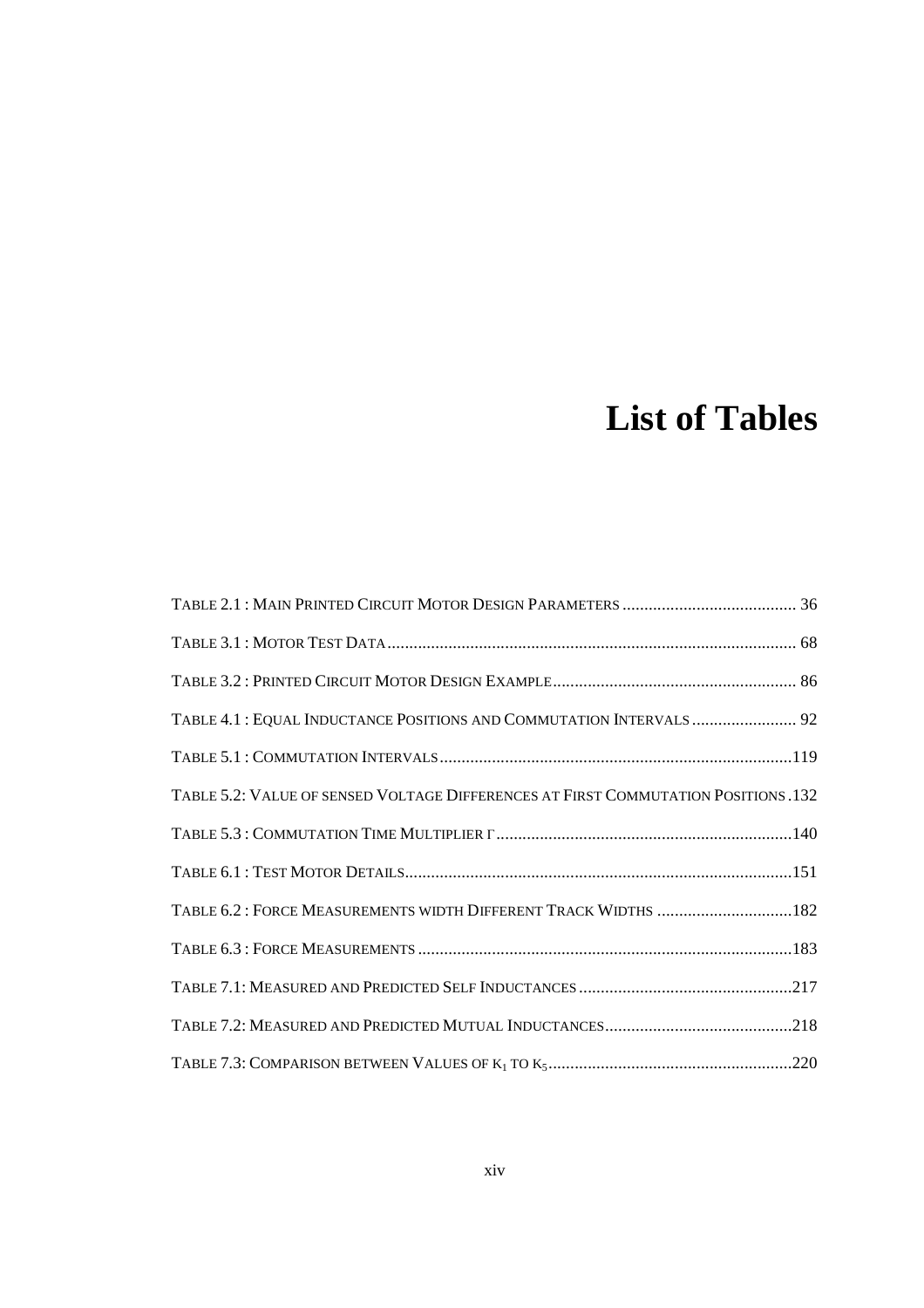# **List of Tables**

| TABLE 4.1 : EQUAL INDUCTANCE POSITIONS AND COMMUTATION INTERVALS  92               |
|------------------------------------------------------------------------------------|
|                                                                                    |
| TABLE 5.2: VALUE OF SENSED VOLTAGE DIFFERENCES AT FIRST COMMUTATION POSITIONS .132 |
|                                                                                    |
|                                                                                    |
| TABLE 6.2: FORCE MEASUREMENTS WIDTH DIFFERENT TRACK WIDTHS 182                     |
|                                                                                    |
|                                                                                    |
|                                                                                    |
|                                                                                    |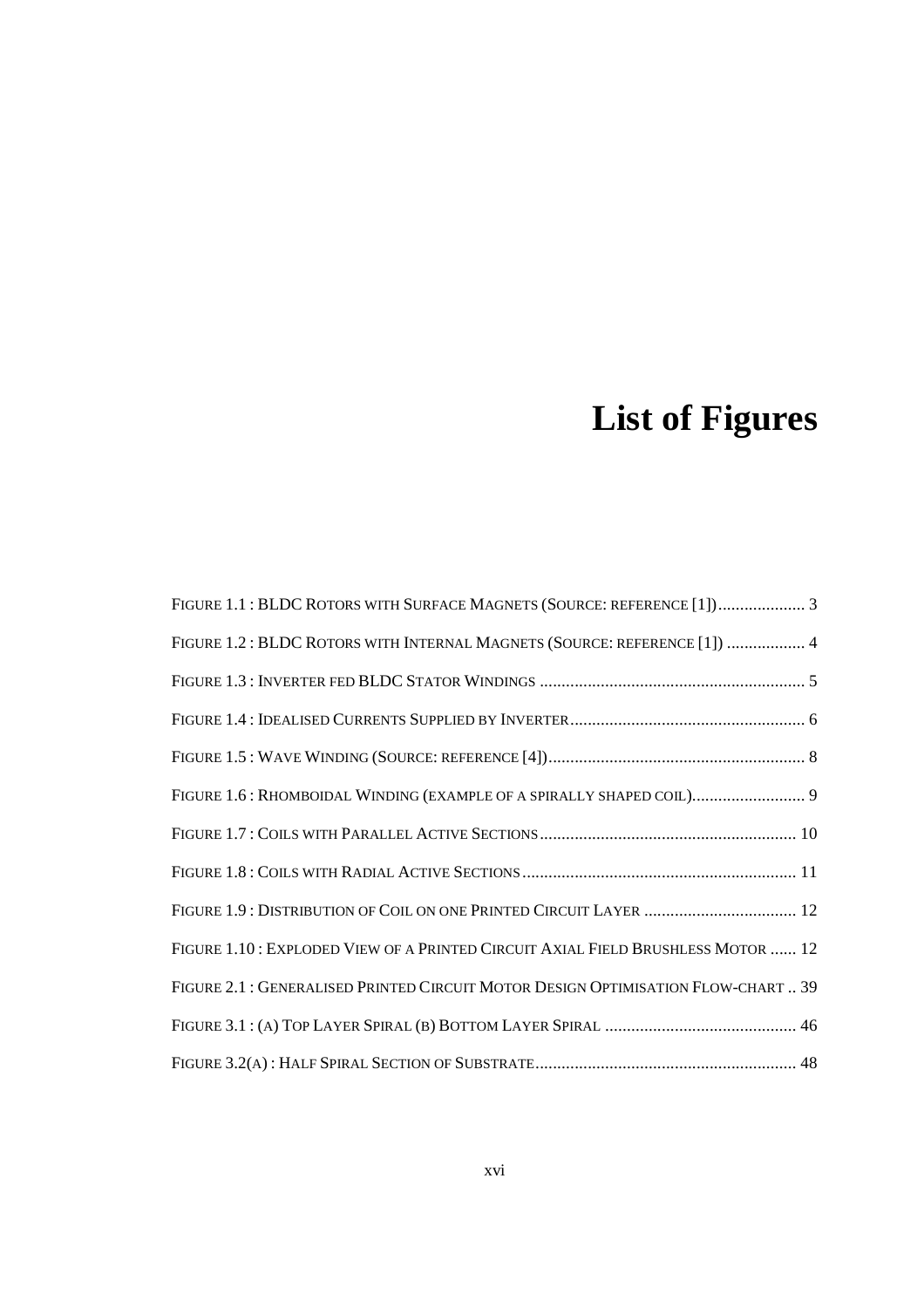# **List of Figures**

| FIGURE 1.1 : BLDC ROTORS WITH SURFACE MAGNETS (SOURCE: REFERENCE [1]) 3           |
|-----------------------------------------------------------------------------------|
| FIGURE 1.2: BLDC ROTORS WITH INTERNAL MAGNETS (SOURCE: REFERENCE [1])  4          |
|                                                                                   |
|                                                                                   |
|                                                                                   |
| FIGURE 1.6: RHOMBOIDAL WINDING (EXAMPLE OF A SPIRALLY SHAPED COIL) 9              |
|                                                                                   |
|                                                                                   |
|                                                                                   |
| FIGURE 1.10: EXPLODED VIEW OF A PRINTED CIRCUIT AXIAL FIELD BRUSHLESS MOTOR  12   |
| FIGURE 2.1 : GENERALISED PRINTED CIRCUIT MOTOR DESIGN OPTIMISATION FLOW-CHART  39 |
|                                                                                   |
|                                                                                   |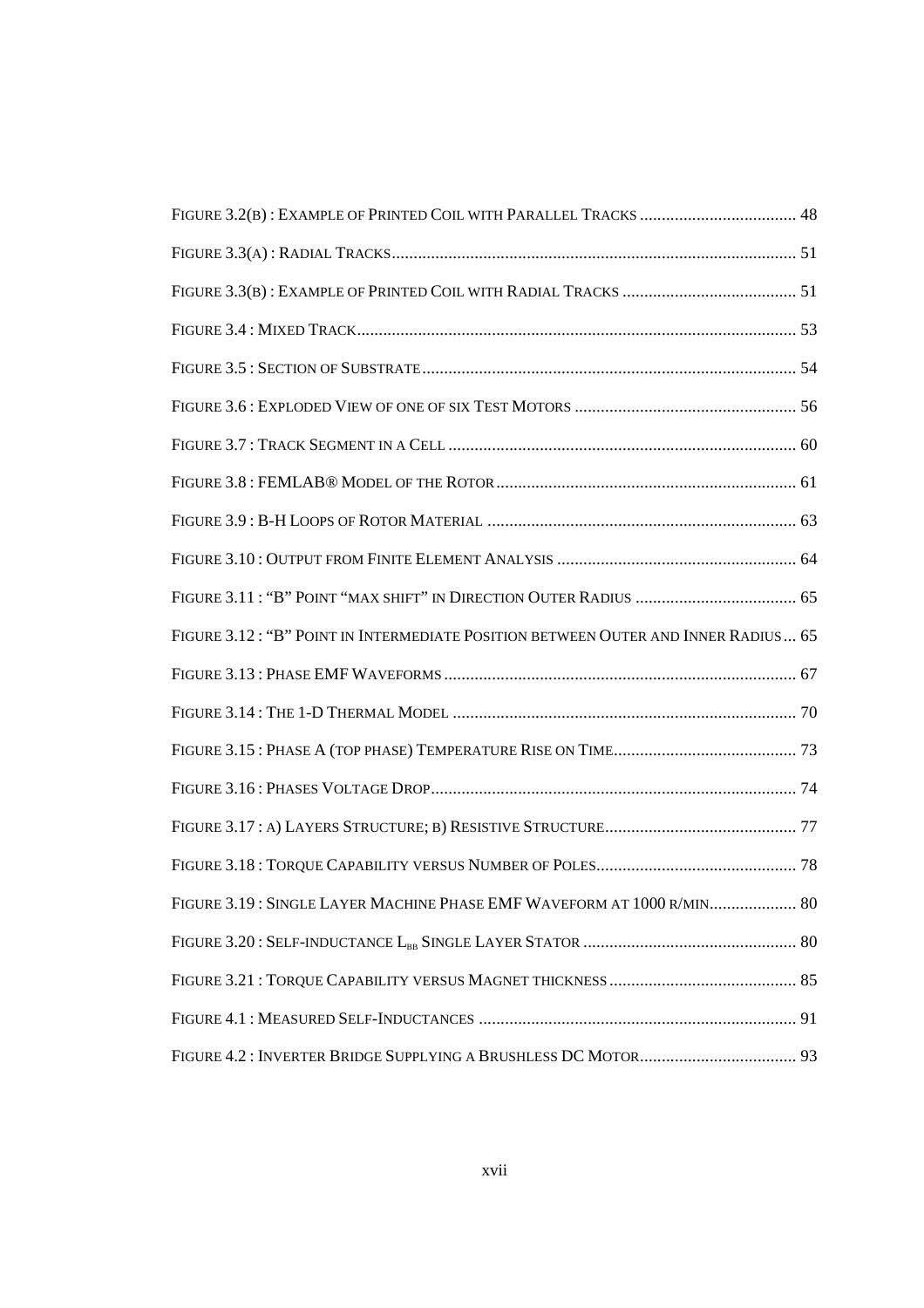| FIGURE 3.12: "B" POINT IN INTERMEDIATE POSITION BETWEEN OUTER AND INNER RADIUS 65 |
|-----------------------------------------------------------------------------------|
|                                                                                   |
|                                                                                   |
|                                                                                   |
|                                                                                   |
|                                                                                   |
|                                                                                   |
| FIGURE 3.19: SINGLE LAYER MACHINE PHASE EMF WAVEFORM AT 1000 R/MIN 80             |
|                                                                                   |
|                                                                                   |
|                                                                                   |
|                                                                                   |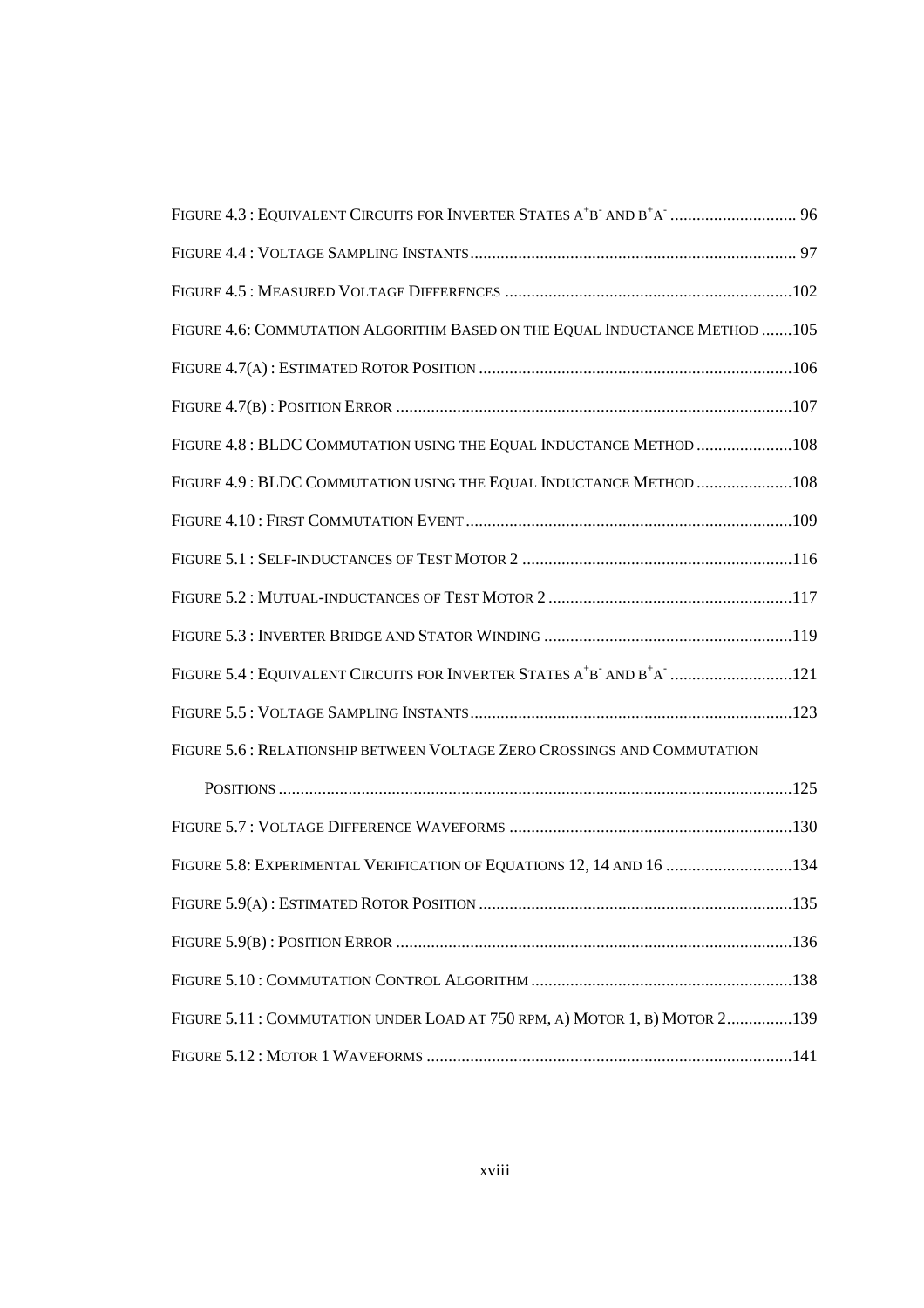| FIGURE 4.6: COMMUTATION ALGORITHM BASED ON THE EQUAL INDUCTANCE METHOD  105                                              |  |
|--------------------------------------------------------------------------------------------------------------------------|--|
|                                                                                                                          |  |
|                                                                                                                          |  |
| FIGURE 4.8 : BLDC COMMUTATION USING THE EQUAL INDUCTANCE METHOD 108                                                      |  |
| FIGURE 4.9: BLDC COMMUTATION USING THE EQUAL INDUCTANCE METHOD 108                                                       |  |
|                                                                                                                          |  |
|                                                                                                                          |  |
|                                                                                                                          |  |
|                                                                                                                          |  |
| FIGURE 5.4 : EQUIVALENT CIRCUITS FOR INVERTER STATES A <sup>+</sup> B <sup>-</sup> AND B <sup>+</sup> A <sup>-</sup> 121 |  |
|                                                                                                                          |  |
| FIGURE 5.6 : RELATIONSHIP BETWEEN VOLTAGE ZERO CROSSINGS AND COMMUTATION                                                 |  |
|                                                                                                                          |  |
|                                                                                                                          |  |
| FIGURE 5.8: EXPERIMENTAL VERIFICATION OF EQUATIONS 12, 14 AND 16 134                                                     |  |
|                                                                                                                          |  |
|                                                                                                                          |  |
|                                                                                                                          |  |
| FIGURE 5.11 : COMMUTATION UNDER LOAD AT 750 RPM, A) MOTOR 1, B) MOTOR 2139                                               |  |
|                                                                                                                          |  |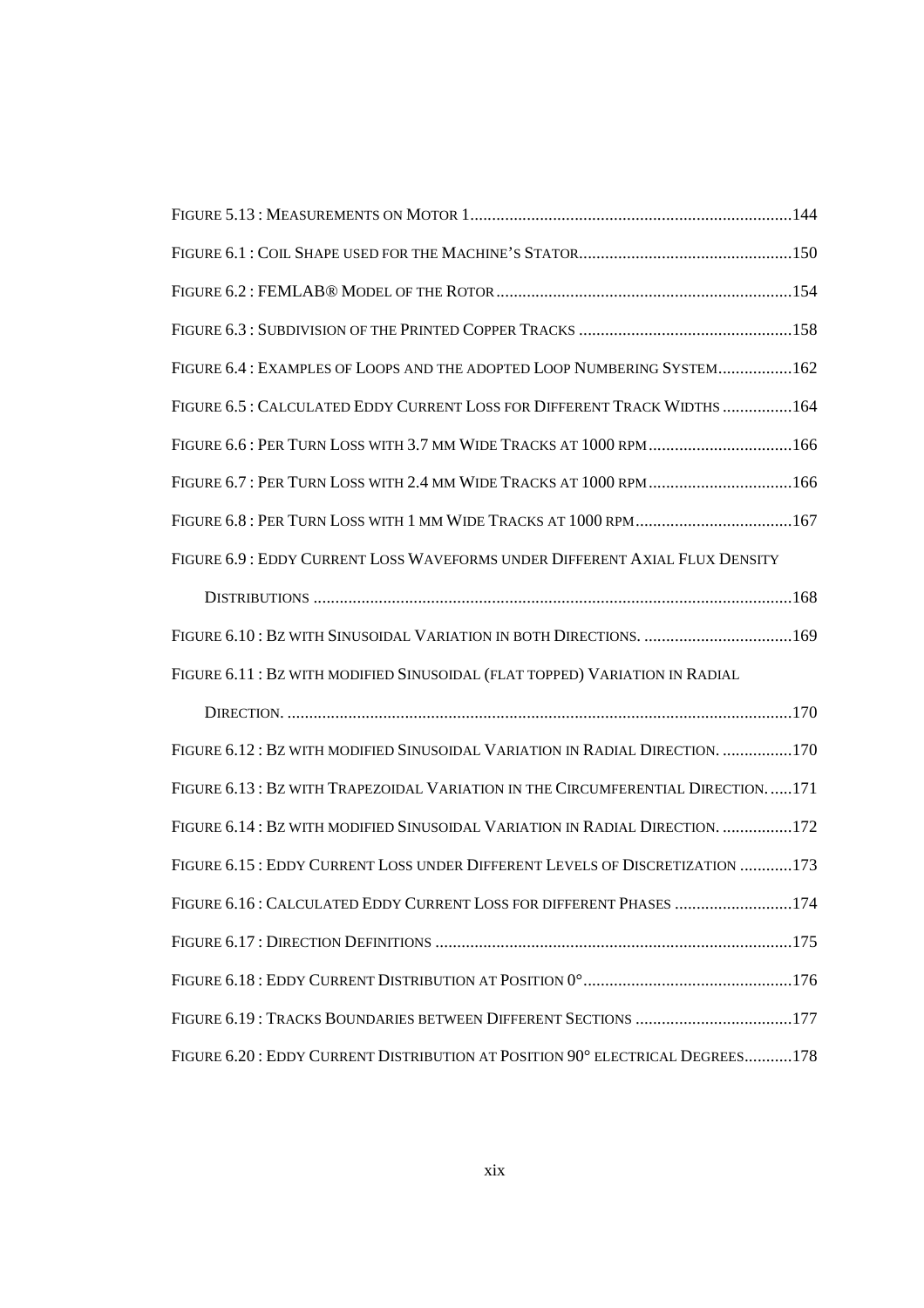| FIGURE 6.4 : EXAMPLES OF LOOPS AND THE ADOPTED LOOP NUMBERING SYSTEM162         |
|---------------------------------------------------------------------------------|
| FIGURE 6.5: CALCULATED EDDY CURRENT LOSS FOR DIFFERENT TRACK WIDTHS 164         |
| FIGURE 6.6: PER TURN LOSS WITH 3.7 MM WIDE TRACKS AT 1000 RPM166                |
| FIGURE 6.7: PER TURN LOSS WITH 2.4 MM WIDE TRACKS AT 1000 RPM166                |
| FIGURE 6.8: PER TURN LOSS WITH 1 MM WIDE TRACKS AT 1000 RPM167                  |
| FIGURE 6.9 : EDDY CURRENT LOSS WAVEFORMS UNDER DIFFERENT AXIAL FLUX DENSITY     |
|                                                                                 |
| FIGURE 6.10: BZ WITH SINUSOIDAL VARIATION IN BOTH DIRECTIONS. 169               |
| FIGURE 6.11: BZ WITH MODIFIED SINUSOIDAL (FLAT TOPPED) VARIATION IN RADIAL      |
|                                                                                 |
| FIGURE 6.12: BZ WITH MODIFIED SINUSOIDAL VARIATION IN RADIAL DIRECTION. 170     |
| FIGURE 6.13 : BZ WITH TRAPEZOIDAL VARIATION IN THE CIRCUMFERENTIAL DIRECTION171 |
| FIGURE 6.14: BZ WITH MODIFIED SINUSOIDAL VARIATION IN RADIAL DIRECTION. 172     |
| FIGURE 6.15 : EDDY CURRENT LOSS UNDER DIFFERENT LEVELS OF DISCRETIZATION 173    |
| FIGURE 6.16: CALCULATED EDDY CURRENT LOSS FOR DIFFERENT PHASES<br>.174          |
|                                                                                 |
|                                                                                 |
| FIGURE 6.19: TRACKS BOUNDARIES BETWEEN DIFFERENT SECTIONS 177                   |
| FIGURE 6.20: EDDY CURRENT DISTRIBUTION AT POSITION 90° ELECTRICAL DEGREES178    |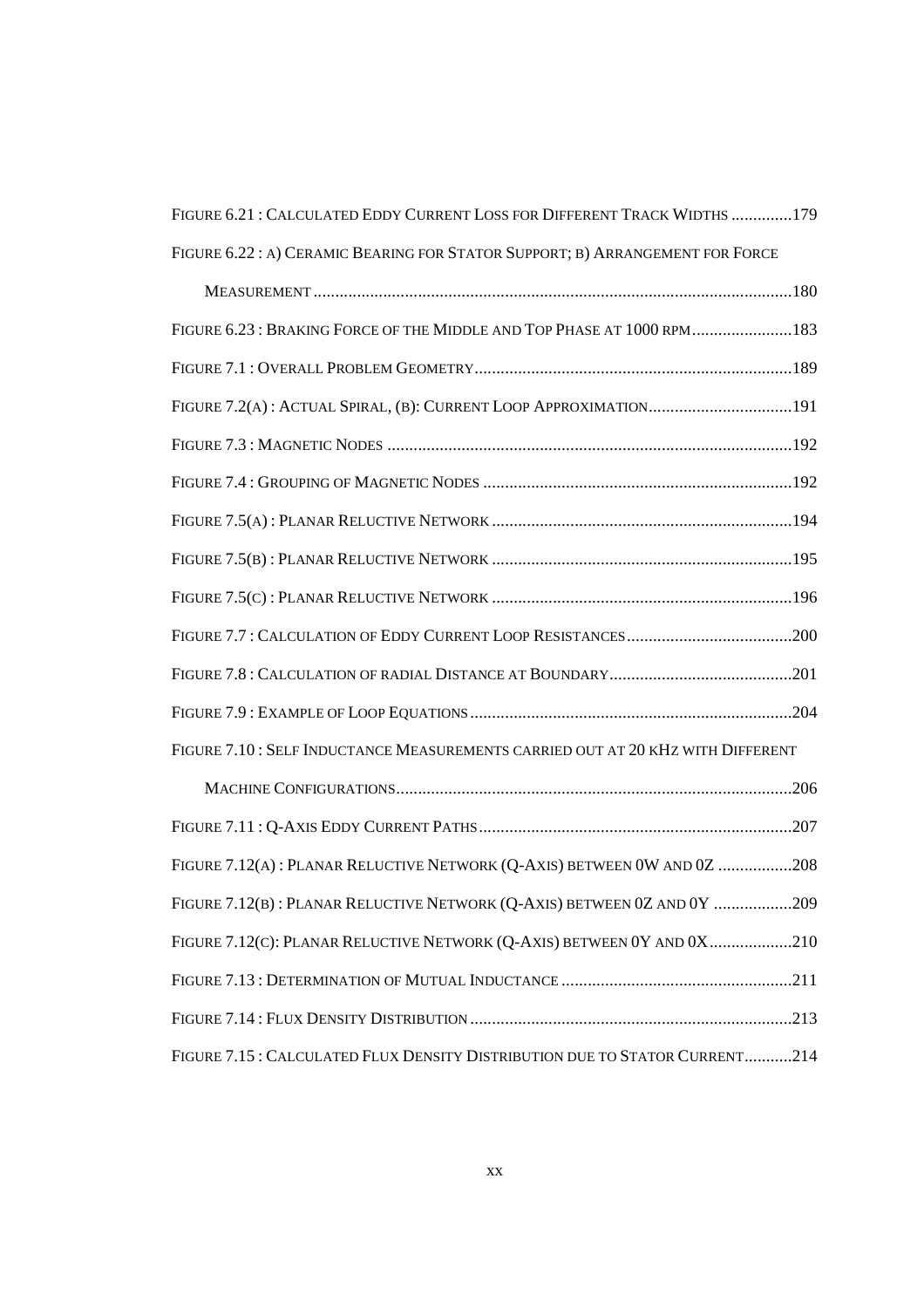| FIGURE 6.21 : CALCULATED EDDY CURRENT LOSS FOR DIFFERENT TRACK WIDTHS 179      |
|--------------------------------------------------------------------------------|
| FIGURE 6.22: A) CERAMIC BEARING FOR STATOR SUPPORT; B) ARRANGEMENT FOR FORCE   |
|                                                                                |
| FIGURE 6.23 : BRAKING FORCE OF THE MIDDLE AND TOP PHASE AT 1000 RPM183         |
|                                                                                |
|                                                                                |
|                                                                                |
|                                                                                |
|                                                                                |
|                                                                                |
|                                                                                |
|                                                                                |
|                                                                                |
|                                                                                |
| FIGURE 7.10: SELF INDUCTANCE MEASUREMENTS CARRIED OUT AT 20 KHZ WITH DIFFERENT |
|                                                                                |
|                                                                                |
| FIGURE 7.12(A): PLANAR RELUCTIVE NETWORK (Q-AXIS) BETWEEN 0W AND 0Z 208        |
| FIGURE 7.12(B): PLANAR RELUCTIVE NETWORK (Q-AXIS) BETWEEN 0Z AND 0Y 209        |
| FIGURE 7.12(C): PLANAR RELUCTIVE NETWORK (Q-AXIS) BETWEEN 0Y AND 0X210         |
|                                                                                |
|                                                                                |
| FIGURE 7.15 : CALCULATED FLUX DENSITY DISTRIBUTION DUE TO STATOR CURRENT214    |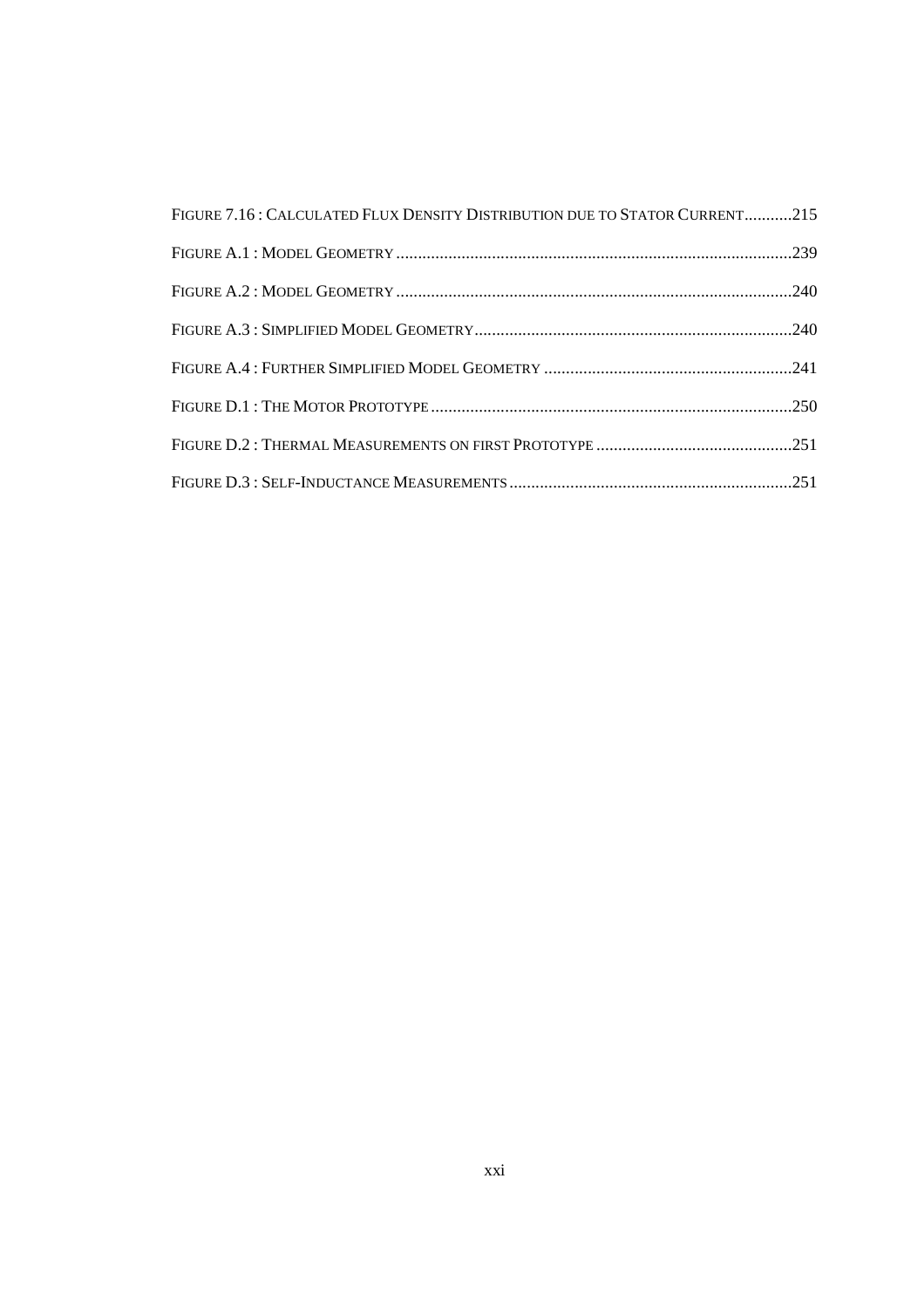| FIGURE 7.16: CALCULATED FLUX DENSITY DISTRIBUTION DUE TO STATOR CURRENT215 |  |
|----------------------------------------------------------------------------|--|
|                                                                            |  |
|                                                                            |  |
|                                                                            |  |
|                                                                            |  |
|                                                                            |  |
|                                                                            |  |
|                                                                            |  |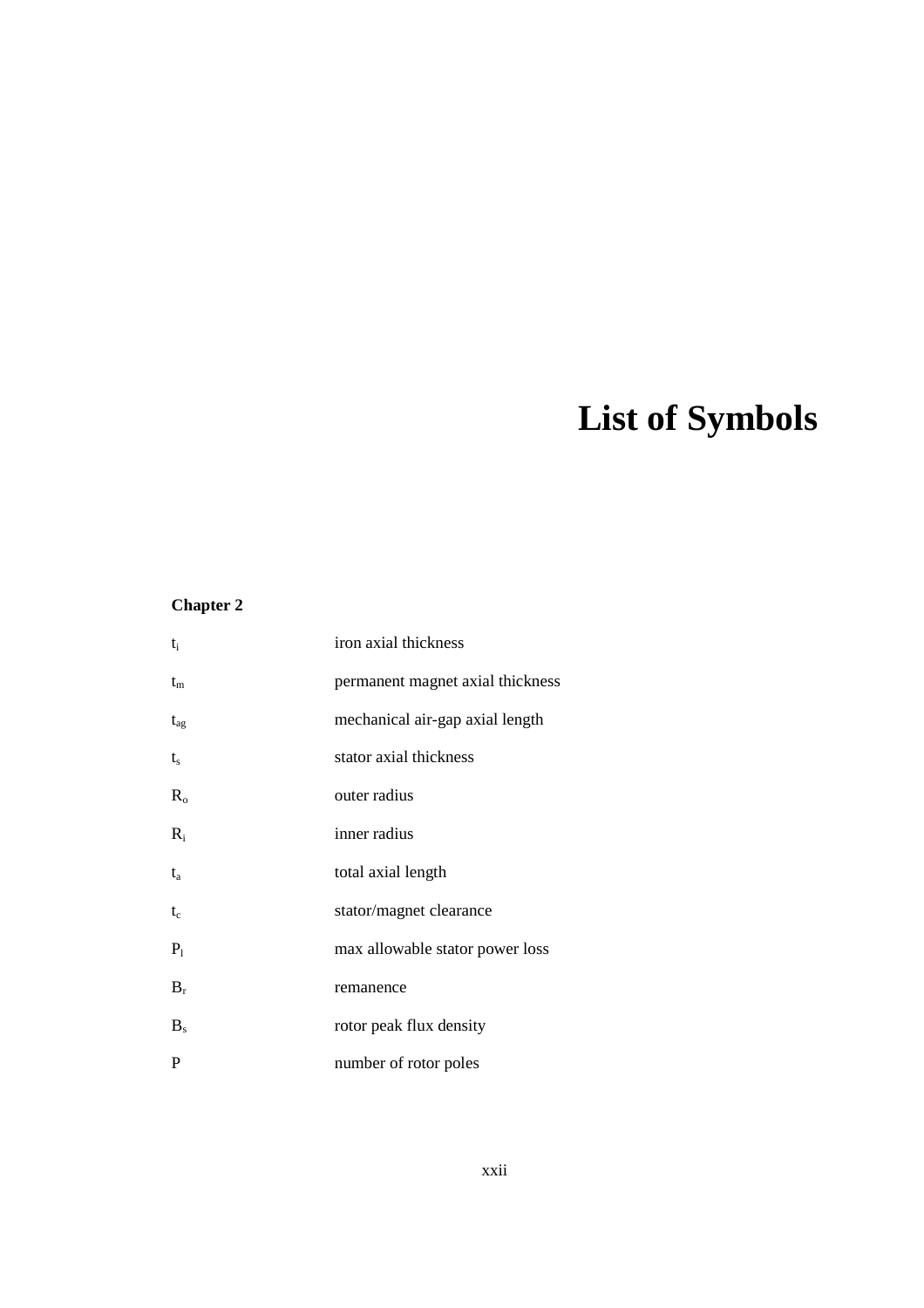# **List of Symbols**

#### **Chapter 2**

| $t_i$          | iron axial thickness             |
|----------------|----------------------------------|
| $t_{\rm m}$    | permanent magnet axial thickness |
| $t_{\rm ag}$   | mechanical air-gap axial length  |
| $t_{s}$        | stator axial thickness           |
| $R_{o}$        | outer radius                     |
| $R_i$          | inner radius                     |
| $t_a$          | total axial length               |
| $t_c$          | stator/magnet clearance          |
| $P_1$          | max allowable stator power loss  |
| $B_r$          | remanence                        |
| B <sub>s</sub> | rotor peak flux density          |
| P              | number of rotor poles            |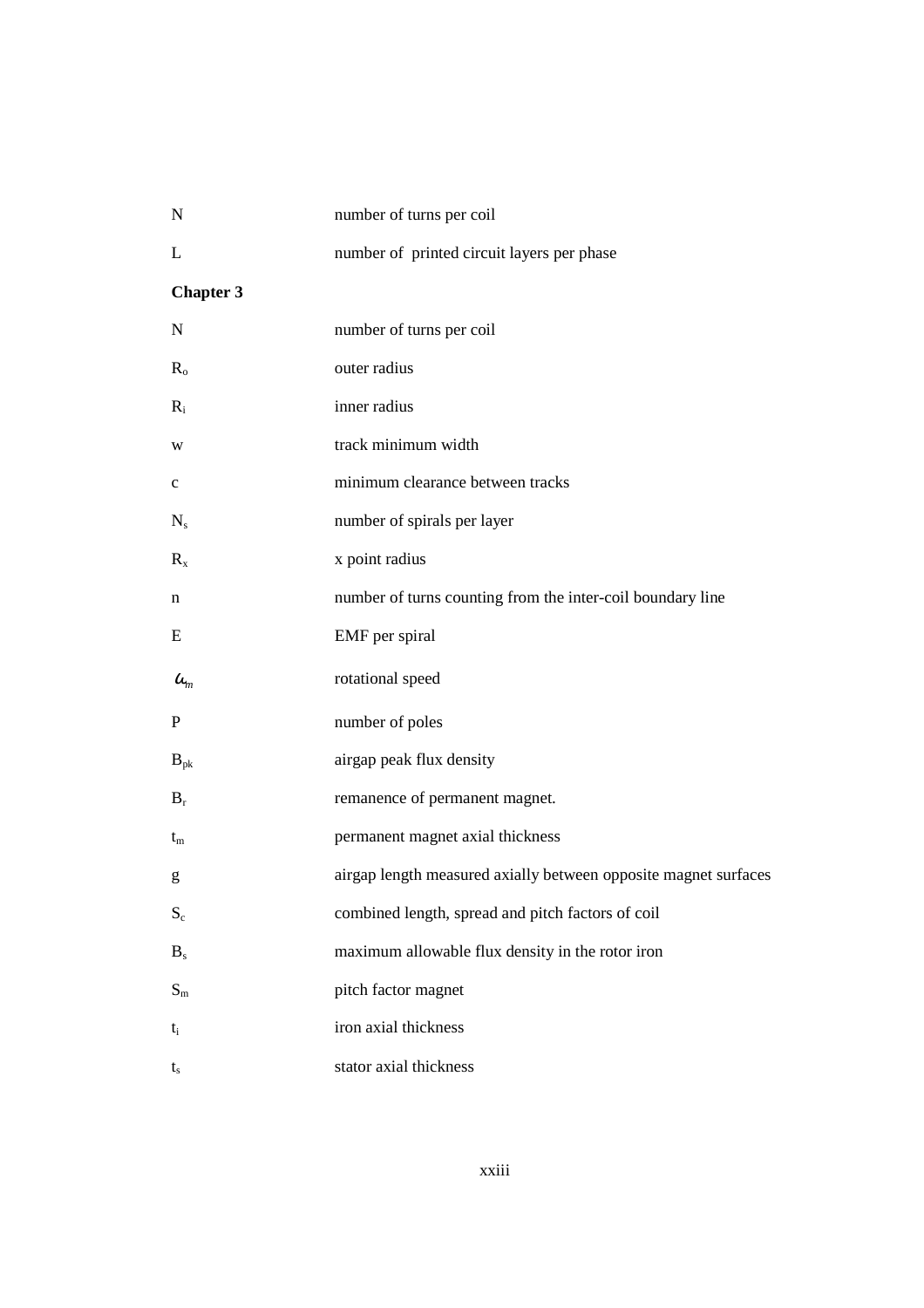| $\mathbf N$      | number of turns per coil                                        |
|------------------|-----------------------------------------------------------------|
| L                | number of printed circuit layers per phase                      |
| <b>Chapter 3</b> |                                                                 |
| $\mathbf N$      | number of turns per coil                                        |
| $R_{o}$          | outer radius                                                    |
| $R_i$            | inner radius                                                    |
| W                | track minimum width                                             |
| $\mathbf c$      | minimum clearance between tracks                                |
| $N_{s}$          | number of spirals per layer                                     |
| $R_{x}$          | x point radius                                                  |
| n                | number of turns counting from the inter-coil boundary line      |
| E                | EMF per spiral                                                  |
| $\omega_{m}$     | rotational speed                                                |
| P                | number of poles                                                 |
| $B_{\rm pk}$     | airgap peak flux density                                        |
| $B_r$            | remanence of permanent magnet.                                  |
| $t_{\rm m}$      | permanent magnet axial thickness                                |
| g                | airgap length measured axially between opposite magnet surfaces |
| $S_c$            | combined length, spread and pitch factors of coil               |
| B <sub>s</sub>   | maximum allowable flux density in the rotor iron                |
| $S_m$            | pitch factor magnet                                             |
| $t_{\rm i}$      | iron axial thickness                                            |
| $t_{s}$          | stator axial thickness                                          |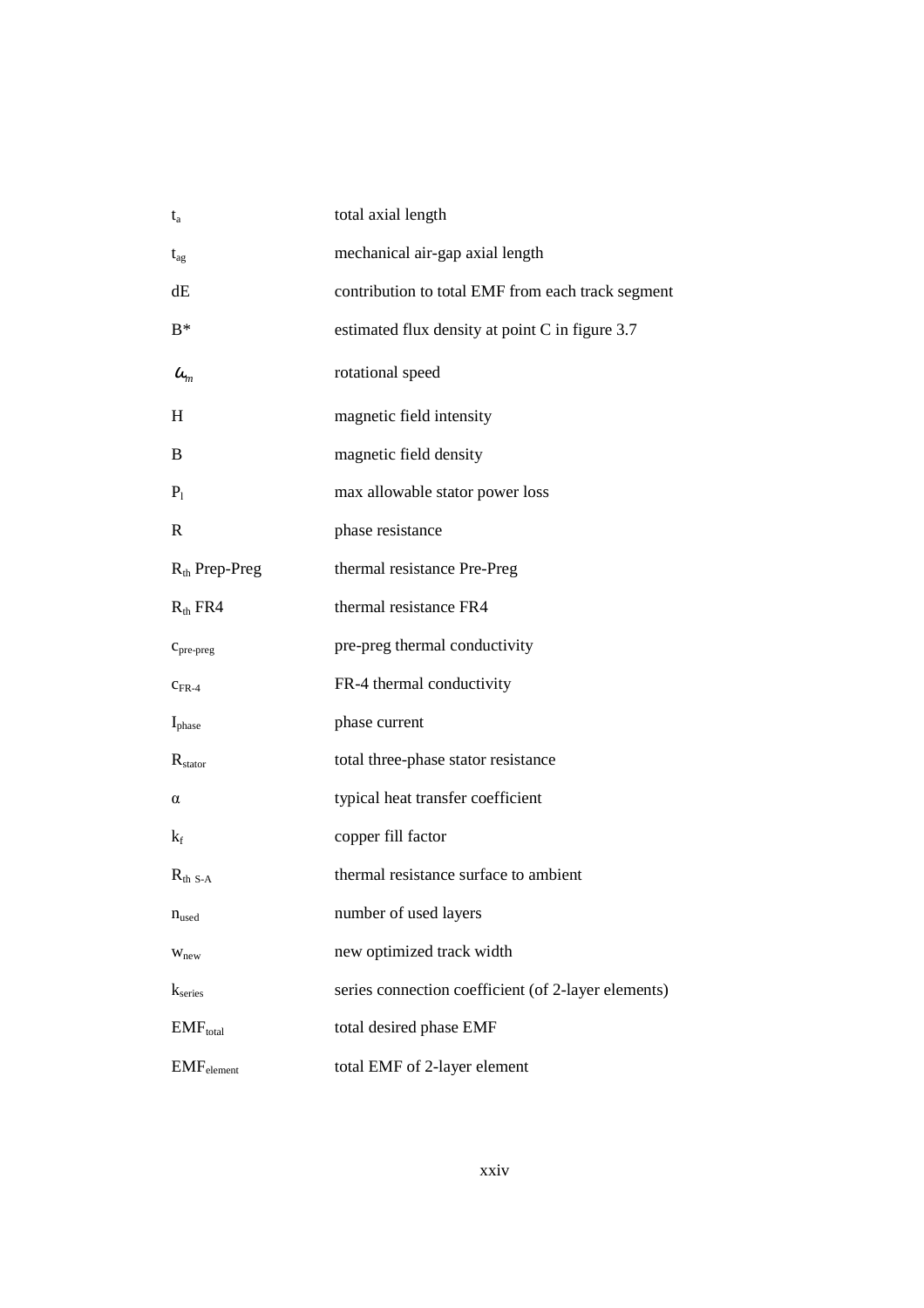| $t_a$                           | total axial length                                  |
|---------------------------------|-----------------------------------------------------|
| $t_{\rm ag}$                    | mechanical air-gap axial length                     |
| dE                              | contribution to total EMF from each track segment   |
| $B^*$                           | estimated flux density at point C in figure 3.7     |
| $\omega_{\rm m}$                | rotational speed                                    |
| H                               | magnetic field intensity                            |
| B                               | magnetic field density                              |
| $P_1$                           | max allowable stator power loss                     |
| R                               | phase resistance                                    |
| $R_{th}$ Prep-Preg              | thermal resistance Pre-Preg                         |
| $R_{th}$ FR4                    | thermal resistance FR4                              |
| $c_{pre-preg}$                  | pre-preg thermal conductivity                       |
| $C_{FR-4}$                      | FR-4 thermal conductivity                           |
| $I_{phase}$                     | phase current                                       |
| $R_{\text{stator}}$             | total three-phase stator resistance                 |
| α                               | typical heat transfer coefficient                   |
| $k_f$                           | copper fill factor                                  |
| $R_{th S-A}$                    | thermal resistance surface to ambient               |
| $n_{used}$                      | number of used layers                               |
| W <sub>new</sub>                | new optimized track width                           |
| $k_{series}$                    | series connection coefficient (of 2-layer elements) |
| EMF <sub>total</sub>            | total desired phase EMF                             |
| $\mathrm{EMF}_{\text{element}}$ | total EMF of 2-layer element                        |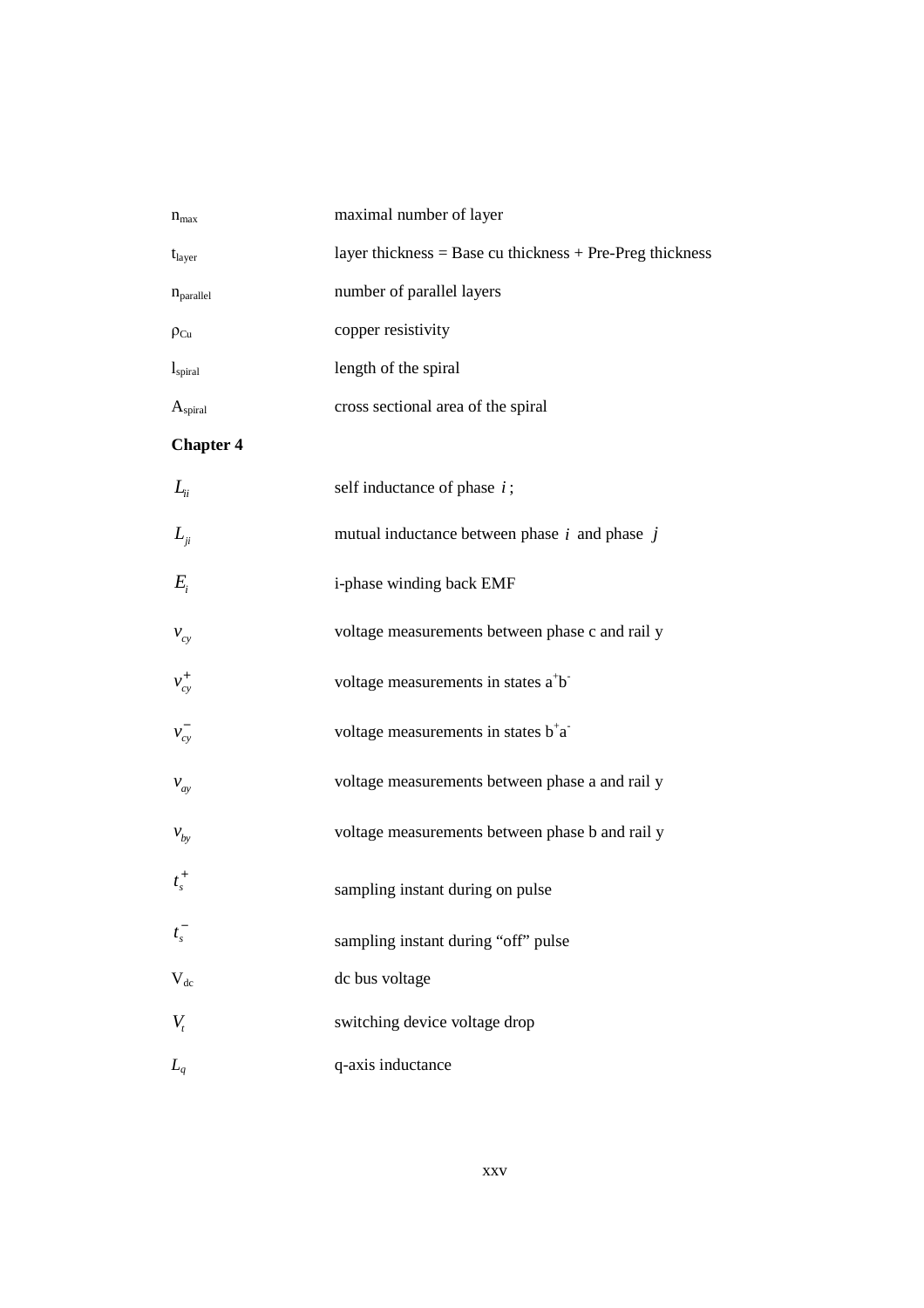| $n_{max}$             | maximal number of layer                                      |
|-----------------------|--------------------------------------------------------------|
| $t_{\text{layer}}$    | layer thickness = Base cu thickness + Pre-Preg thickness     |
| $n_{\text{parallel}}$ | number of parallel layers                                    |
| $\rho_{Cu}$           | copper resistivity                                           |
| $l_{\rm spiral}$      | length of the spiral                                         |
| $A_{\text{spiral}}$   | cross sectional area of the spiral                           |
| <b>Chapter 4</b>      |                                                              |
| $L_{ii}$              | self inductance of phase $i$ ;                               |
| $L_{ji}$              | mutual inductance between phase $i$ and phase $j$            |
| $E_i$                 | i-phase winding back EMF                                     |
| $v_{cy}$              | voltage measurements between phase c and rail y              |
| $v_{cy}^+$            | voltage measurements in states a <sup>+</sup> b <sup>-</sup> |
| $v_{cy}^{-}$          | voltage measurements in states $b^{\dagger}a^{\dagger}$      |
| $v_{\alpha y}$        | voltage measurements between phase a and rail y              |
| $v_{by}$              | voltage measurements between phase b and rail y              |
| $t_{s}^{+}$           | sampling instant during on pulse                             |
| $t_s^-$               | sampling instant during "off" pulse                          |
| $V_{dc}$              | dc bus voltage                                               |
| $V_{t}$               | switching device voltage drop                                |
| $L_q$                 | q-axis inductance                                            |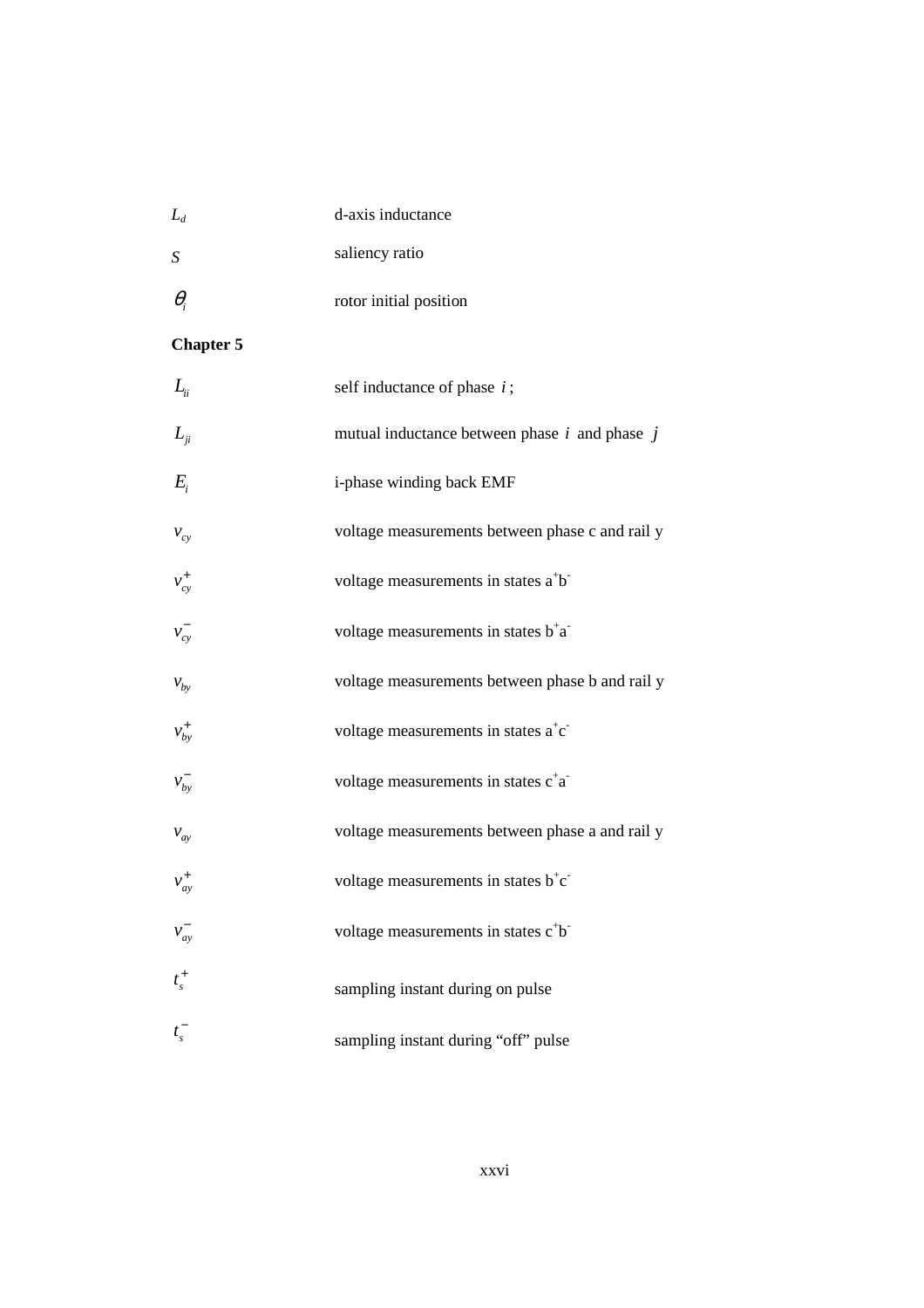| $L_d$ | d-axis inductance |
|-------|-------------------|
|       |                   |

- *S* saliency ratio
- θ*i* rotor initial position

### **Chapter 5**

| $L_{ii}$      | self inductance of phase $i$ ;                               |
|---------------|--------------------------------------------------------------|
| $L_{ii}$      | mutual inductance between phase $i$ and phase $j$            |
| $E_i$         | i-phase winding back EMF                                     |
| $v_{cy}$      | voltage measurements between phase c and rail y              |
| $v_{cy}^+$    | voltage measurements in states a <sup>+</sup> b <sup>-</sup> |
| $v_{cy}^-$    | voltage measurements in states $b^{\dagger}a^{\dagger}$      |
| $V_{by}$      | voltage measurements between phase b and rail y              |
| $v_{by}^+$    | voltage measurements in states $a^+c^-$                      |
| $v_{by}^-$    | voltage measurements in states c <sup>+</sup> a <sup>-</sup> |
| $v_{ay}$      | voltage measurements between phase a and rail y              |
| $v_{ay}^+$    | voltage measurements in states b <sup>+</sup> c <sup>-</sup> |
| $v_{ay}^-$    | voltage measurements in states c <sup>+</sup> b <sup>-</sup> |
| $t_s^+$       | sampling instant during on pulse                             |
| $t_{\rm s}^-$ | sampling instant during "off" pulse                          |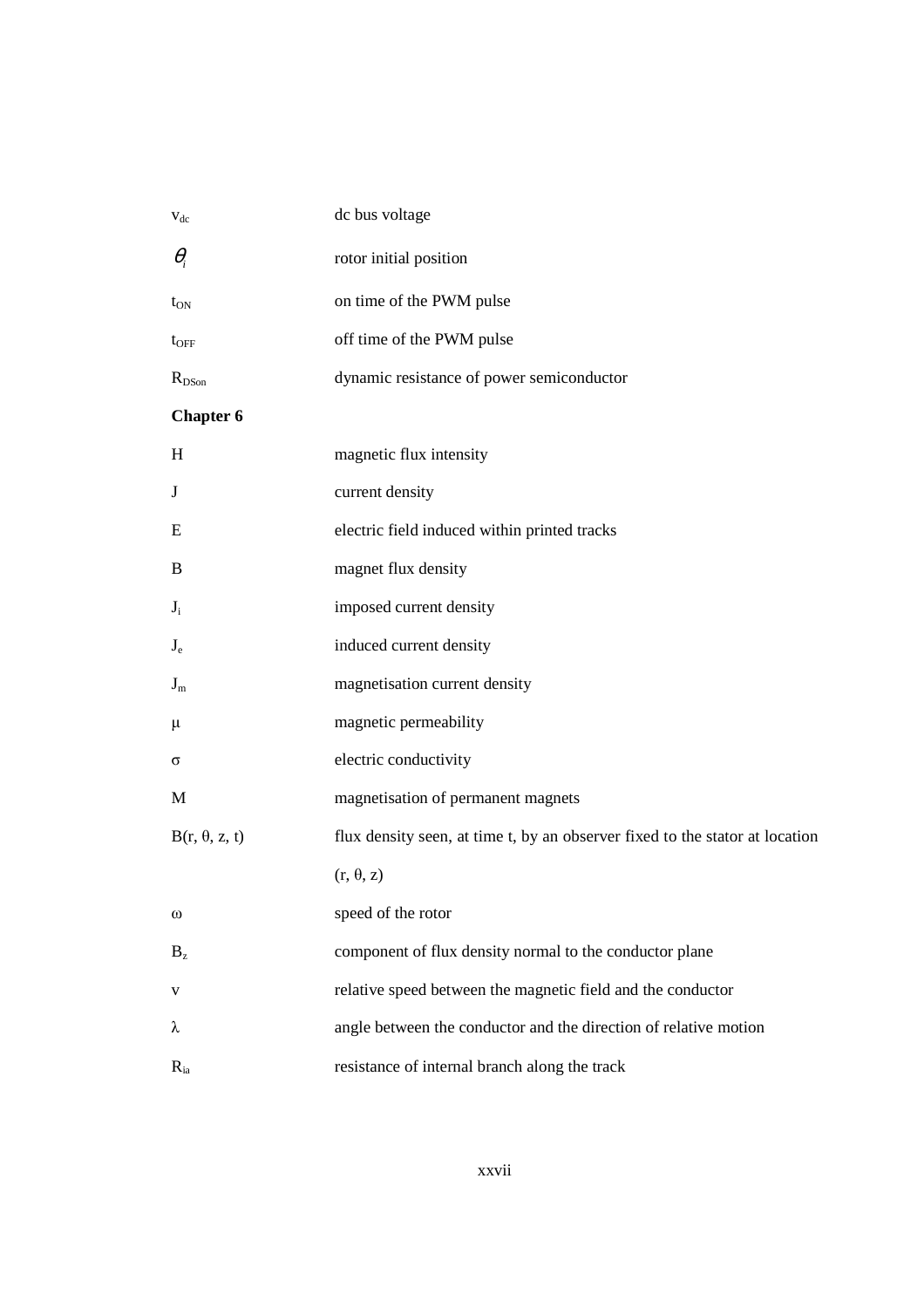| $V_{dc}$                  | dc bus voltage                                                               |
|---------------------------|------------------------------------------------------------------------------|
| $\theta_i$                | rotor initial position                                                       |
| $t_{ON}$                  | on time of the PWM pulse                                                     |
| $t_{\rm OFF}$             | off time of the PWM pulse                                                    |
| $R_{DSon}$                | dynamic resistance of power semiconductor                                    |
| <b>Chapter 6</b>          |                                                                              |
| H                         | magnetic flux intensity                                                      |
| J                         | current density                                                              |
| Ε                         | electric field induced within printed tracks                                 |
| B                         | magnet flux density                                                          |
| $J_i$                     | imposed current density                                                      |
| $J_e$                     | induced current density                                                      |
| $J_m$                     | magnetisation current density                                                |
| μ                         | magnetic permeability                                                        |
| σ                         | electric conductivity                                                        |
| M                         | magnetisation of permanent magnets                                           |
| $B(r, \theta, z, t)$      | flux density seen, at time t, by an observer fixed to the stator at location |
|                           | $(r, \theta, z)$                                                             |
| $^\omega$                 | speed of the rotor                                                           |
| $\mathbf{B}_{\mathrm{z}}$ | component of flux density normal to the conductor plane                      |
| V                         | relative speed between the magnetic field and the conductor                  |
| λ                         | angle between the conductor and the direction of relative motion             |
| $R_{ia}$                  | resistance of internal branch along the track                                |

#### xxvii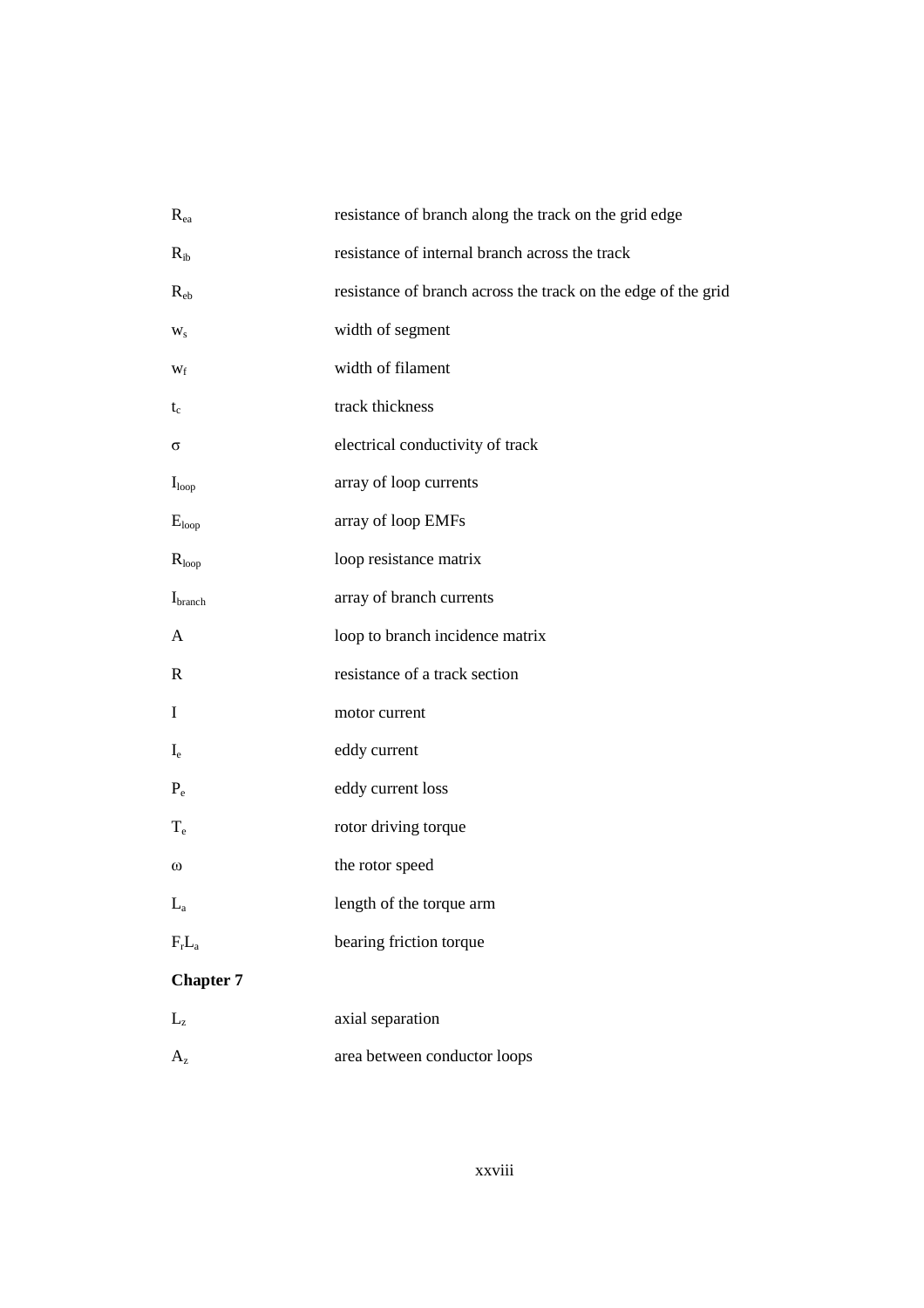| $R_{ea}$                | resistance of branch along the track on the grid edge         |
|-------------------------|---------------------------------------------------------------|
| $R_{ib}$                | resistance of internal branch across the track                |
| $R_{eb}$                | resistance of branch across the track on the edge of the grid |
| $W_{S}$                 | width of segment                                              |
| $W_f$                   | width of filament                                             |
| $t_c$                   | track thickness                                               |
| σ                       | electrical conductivity of track                              |
| I <sub>loop</sub>       | array of loop currents                                        |
| $E_{loop}$              | array of loop EMFs                                            |
| $R_{loop}$              | loop resistance matrix                                        |
| I <sub>branch</sub>     | array of branch currents                                      |
| A                       | loop to branch incidence matrix                               |
| R                       | resistance of a track section                                 |
| Ι                       | motor current                                                 |
| $I_{e}$                 | eddy current                                                  |
| $P_e$                   | eddy current loss                                             |
| $T_{e}$                 | rotor driving torque                                          |
| $\omega$                | the rotor speed                                               |
| $L_a$                   | length of the torque arm                                      |
| $F_rL_a$                | bearing friction torque                                       |
| <b>Chapter 7</b>        |                                                               |
| $L_{z}$                 | axial separation                                              |
| $\mathbf{A}_\mathrm{z}$ | area between conductor loops                                  |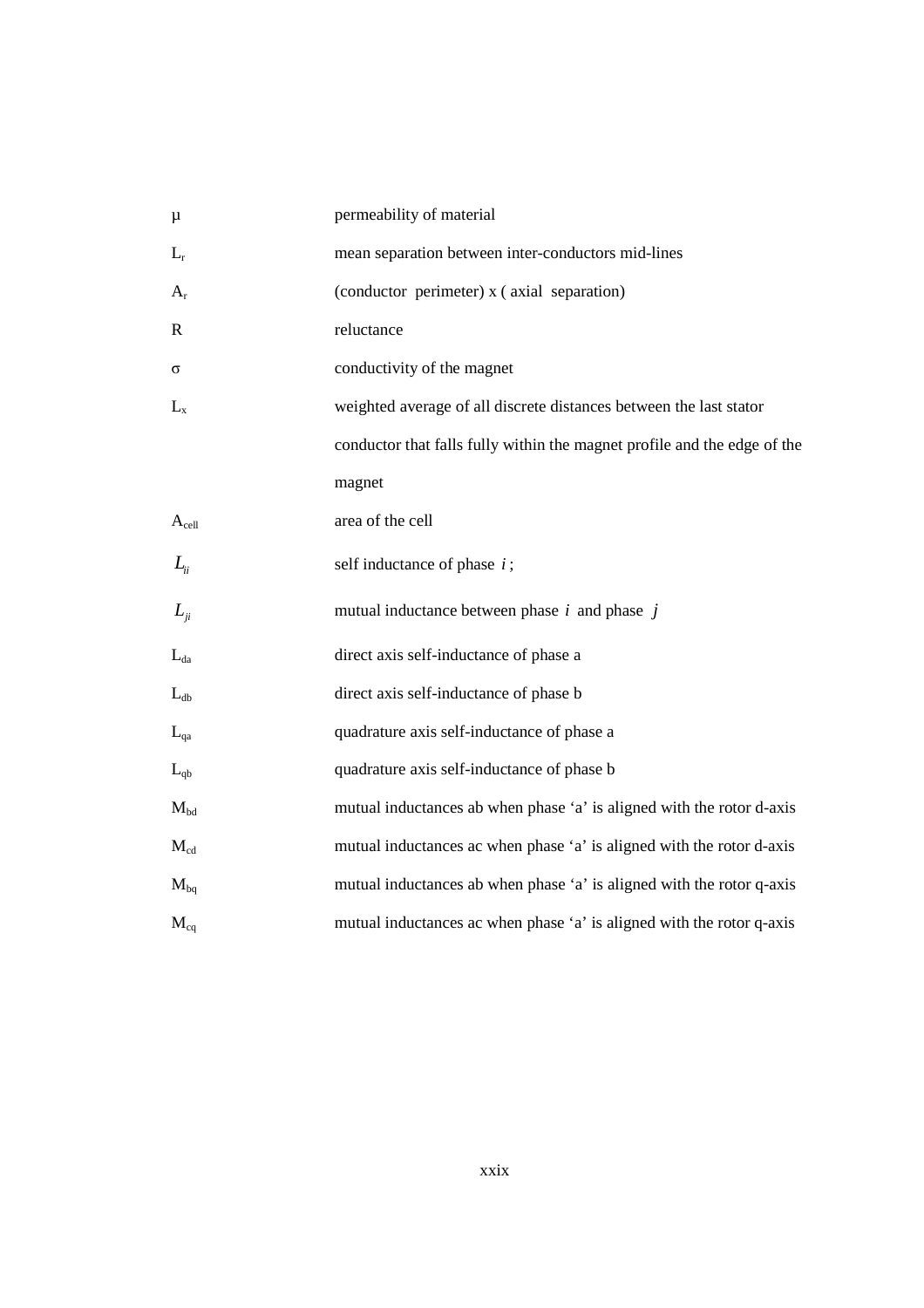| $\mu$            | permeability of material                                                 |
|------------------|--------------------------------------------------------------------------|
| $L_r$            | mean separation between inter-conductors mid-lines                       |
| $A_{r}$          | (conductor perimeter) x (axial separation)                               |
| $\mathbf R$      | reluctance                                                               |
| σ                | conductivity of the magnet                                               |
| $L_{x}$          | weighted average of all discrete distances between the last stator       |
|                  | conductor that falls fully within the magnet profile and the edge of the |
|                  | magnet                                                                   |
| $A_{cell}$       | area of the cell                                                         |
| $L_{ii}$         | self inductance of phase $i$ ;                                           |
| $L_{\ddot{\mu}}$ | mutual inductance between phase $i$ and phase $j$                        |
| $L_{da}$         | direct axis self-inductance of phase a                                   |
| $L_{db}$         | direct axis self-inductance of phase b                                   |
| $L_{qa}$         | quadrature axis self-inductance of phase a                               |
| $L_{qb}$         | quadrature axis self-inductance of phase b                               |
| $M_{bd}$         | mutual inductances ab when phase 'a' is aligned with the rotor d-axis    |
| $M_{cd}$         | mutual inductances ac when phase 'a' is aligned with the rotor d-axis    |
| $M_{bq}$         | mutual inductances ab when phase 'a' is aligned with the rotor q-axis    |
| $M_{cq}$         | mutual inductances ac when phase 'a' is aligned with the rotor q-axis    |
|                  |                                                                          |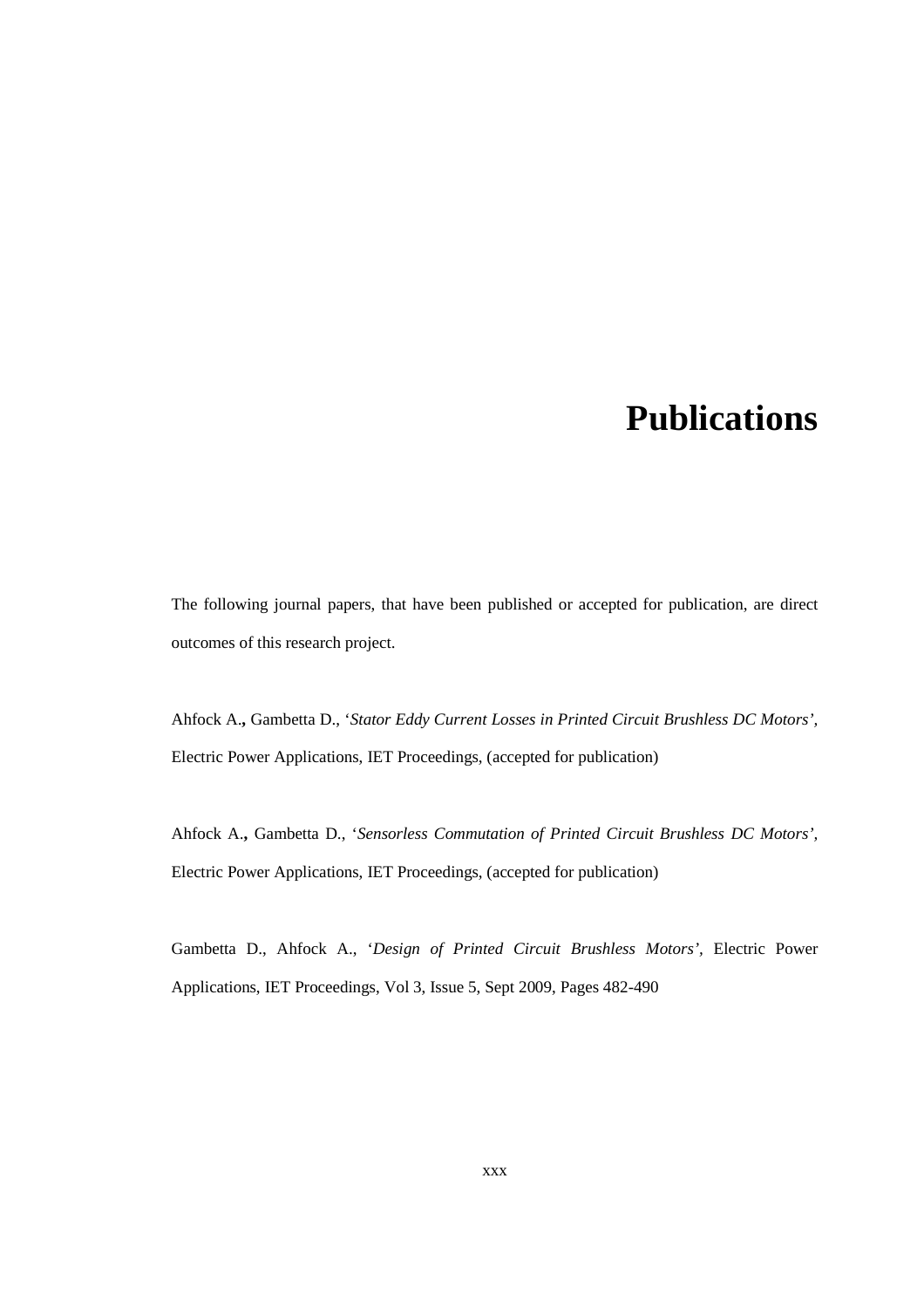## **Publications**

The following journal papers, that have been published or accepted for publication, are direct outcomes of this research project.

Ahfock A.**,** Gambetta D., '*Stator Eddy Current Losses in Printed Circuit Brushless DC Motors',* Electric Power Applications, IET Proceedings, (accepted for publication)

Ahfock A.**,** Gambetta D., '*Sensorless Commutation of Printed Circuit Brushless DC Motors',* Electric Power Applications, IET Proceedings, (accepted for publication)

Gambetta D., Ahfock A., '*Design of Printed Circuit Brushless Motors',* Electric Power Applications, IET Proceedings, Vol 3, Issue 5, Sept 2009, Pages 482-490